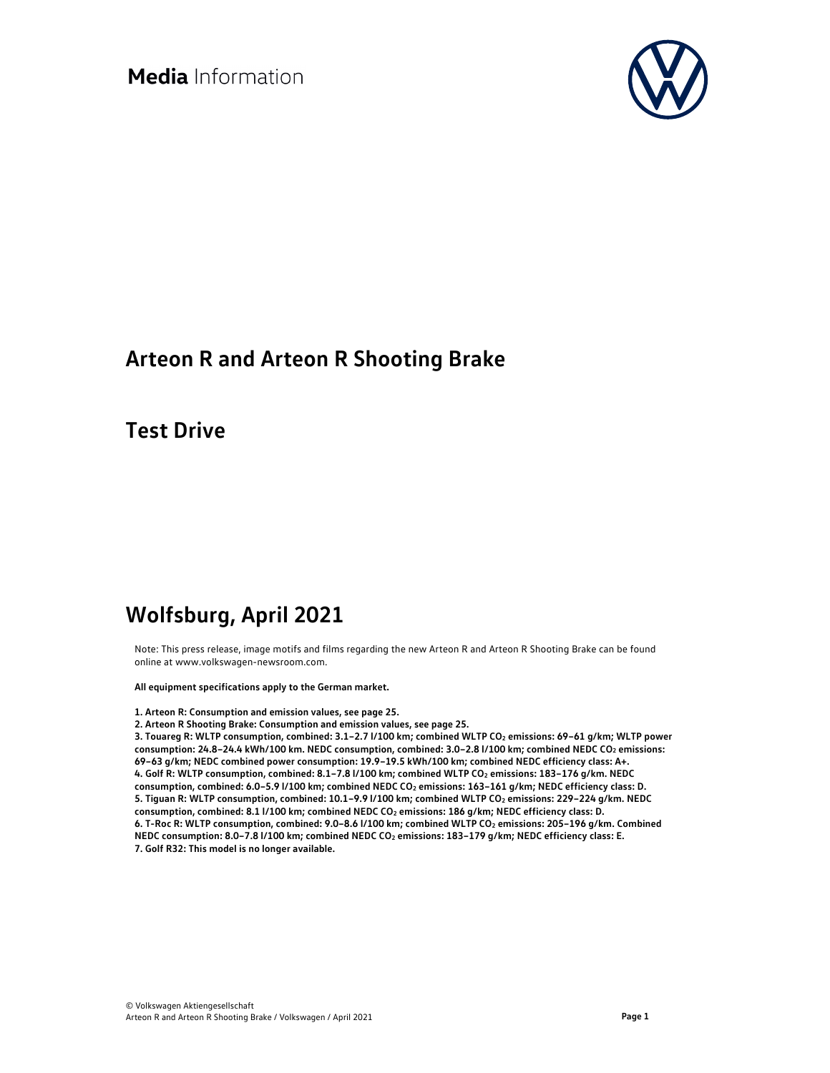

## **Arteon R and Arteon R Shooting Brake**

**Test Drive** 

# **Wolfsburg, April 2021**

Note: This press release, image motifs and films regarding the new Arteon R and Arteon R Shooting Brake can be found online at www.volkswagen-newsroom.com.

**All equipment specifications apply to the German market.** 

#### **1. Arteon R: Consumption and emission values, see page 25.**

**2. Arteon R Shooting Brake: Consumption and emission values, see page 25.** 

3. Touareg R: WLTP consumption, combined: 3.1-2.7 l/100 km; combined WLTP CO<sub>2</sub> emissions: 69-61 g/km; WLTP power **consumption: 24.8–24.4 kWh/100 km. NEDC consumption, combined: 3.0–2.8 l/100 km; combined NEDC CO2 emissions: 69–63 g/km; NEDC combined power consumption: 19.9–19.5 kWh/100 km; combined NEDC efficiency class: A+. 4. Golf R: WLTP consumption, combined: 8.1–7.8 l/100 km; combined WLTP CO2 emissions: 183–176 g/km. NEDC**  consumption, combined: 6.0-5.9 l/100 km; combined NEDC CO<sub>2</sub> emissions: 163-161 g/km; NEDC efficiency class: D. **5. Tiguan R: WLTP consumption, combined: 10.1–9.9 l/100 km; combined WLTP CO2 emissions: 229–224 g/km. NEDC**  consumption, combined: 8.1 l/100 km; combined NEDC CO<sub>2</sub> emissions: 186 g/km; NEDC efficiency class: D. 6. T-Roc R: WLTP consumption, combined: 9.0-8.6 l/100 km; combined WLTP CO<sub>2</sub> emissions: 205-196 g/km. Combined **NEDC consumption: 8.0–7.8 l/100 km; combined NEDC CO2 emissions: 183–179 g/km; NEDC efficiency class: E. 7. Golf R32: This model is no longer available.**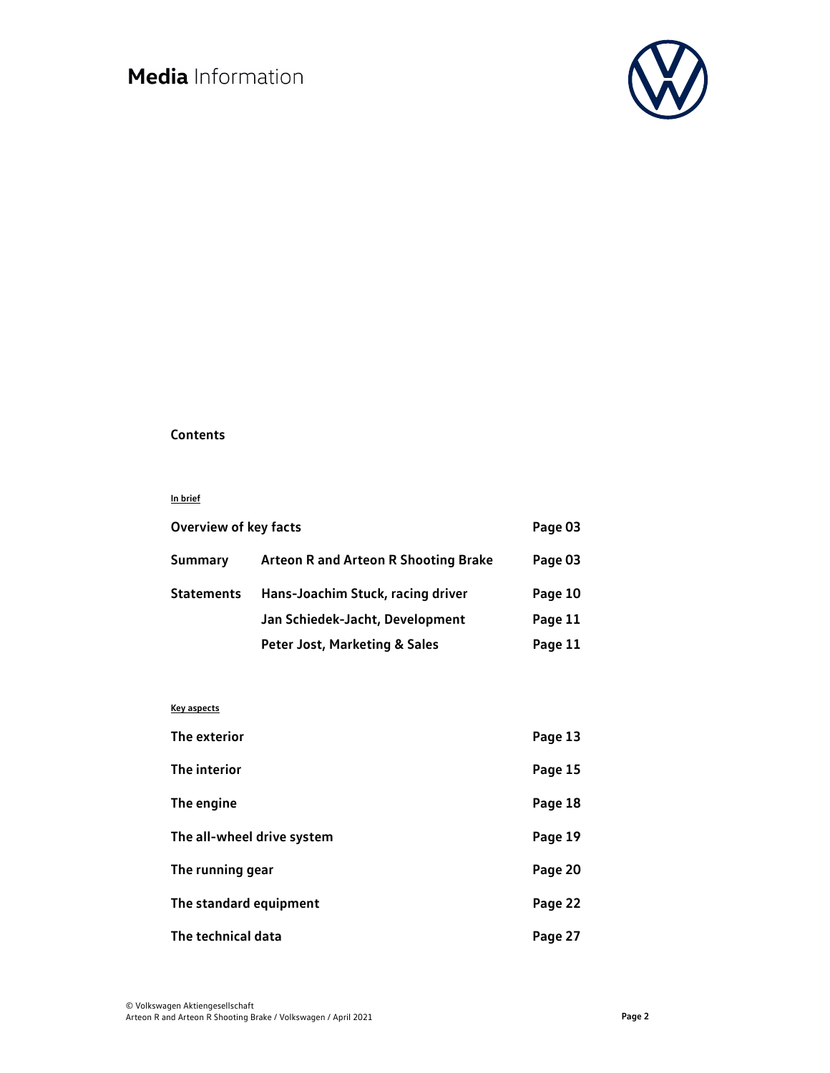

### **Contents**

#### **In brief**

| <b>Overview of key facts</b> |                                             | Page 03 |
|------------------------------|---------------------------------------------|---------|
| Summary                      | <b>Arteon R and Arteon R Shooting Brake</b> | Page 03 |
| Statements                   | Hans-Joachim Stuck, racing driver           | Page 10 |
|                              | Jan Schiedek-Jacht, Development             | Page 11 |
|                              | <b>Peter Jost, Marketing &amp; Sales</b>    | Page 11 |

#### **Key aspects**

| The exterior               | Page 13 |
|----------------------------|---------|
| The interior               | Page 15 |
| The engine                 | Page 18 |
| The all-wheel drive system | Page 19 |
| The running gear           | Page 20 |
| The standard equipment     | Page 22 |
| The technical data         | Page 27 |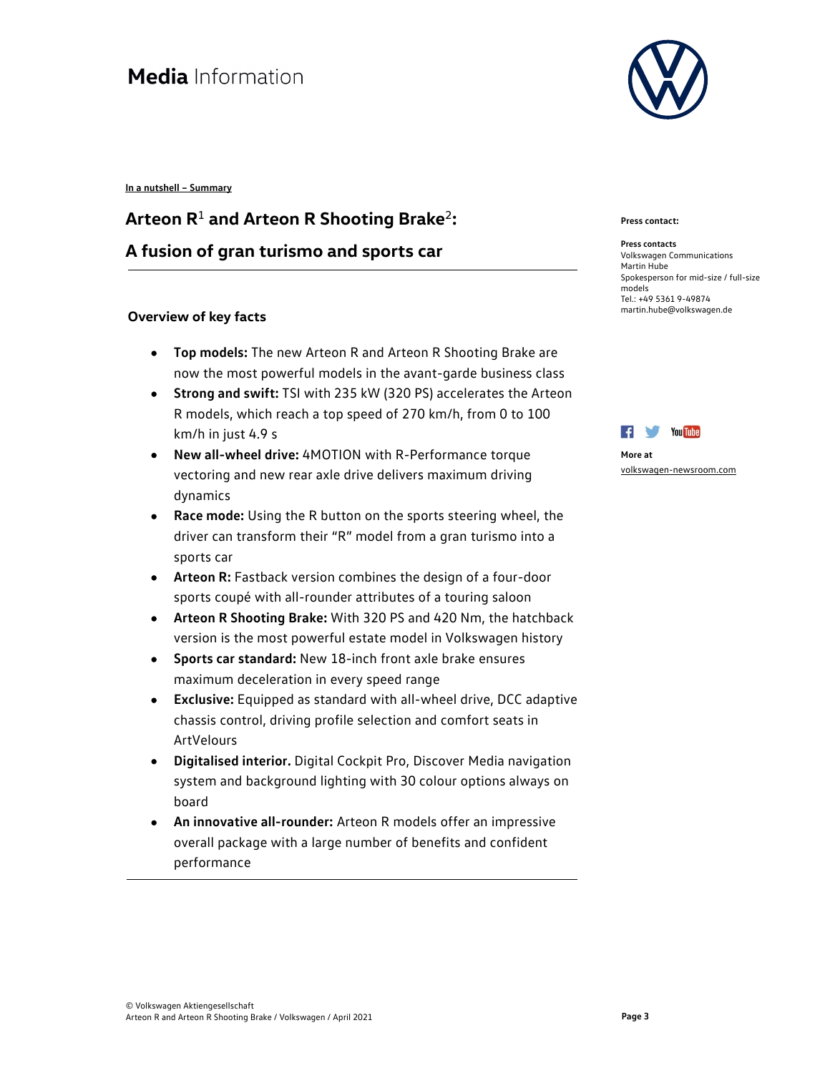**In a nutshell – Summary** 

# **Arteon R**<sup>1</sup> **and Arteon R Shooting Brake**<sup>2</sup>**: A fusion of gran turismo and sports car**

### **Overview of key facts**

- **Top models:** The new Arteon R and Arteon R Shooting Brake are now the most powerful models in the avant-garde business class
- **Strong and swift:** TSI with 235 kW (320 PS) accelerates the Arteon R models, which reach a top speed of 270 km/h, from 0 to 100 km/h in just 4.9 s
- **New all-wheel drive:** 4MOTION with R-Performance torque vectoring and new rear axle drive delivers maximum driving dynamics
- **Race mode:** Using the R button on the sports steering wheel, the driver can transform their "R" model from a gran turismo into a sports car
- **Arteon R:** Fastback version combines the design of a four-door sports coupé with all-rounder attributes of a touring saloon
- **Arteon R Shooting Brake:** With 320 PS and 420 Nm, the hatchback version is the most powerful estate model in Volkswagen history
- **Sports car standard:** New 18-inch front axle brake ensures maximum deceleration in every speed range
- **Exclusive:** Equipped as standard with all-wheel drive, DCC adaptive chassis control, driving profile selection and comfort seats in ArtVelours
- **Digitalised interior.** Digital Cockpit Pro, Discover Media navigation system and background lighting with 30 colour options always on board
- **An innovative all-rounder:** Arteon R models offer an impressive overall package with a large number of benefits and confident performance



#### **Press contact:**

**Press contacts**  Volkswagen Communications Martin Hube Spokesperson for mid-size / full-size models Tel.: +49 5361 9-49874 martin.hube@volkswagen.de



```
More at 
volkswagen-newsroom.com
```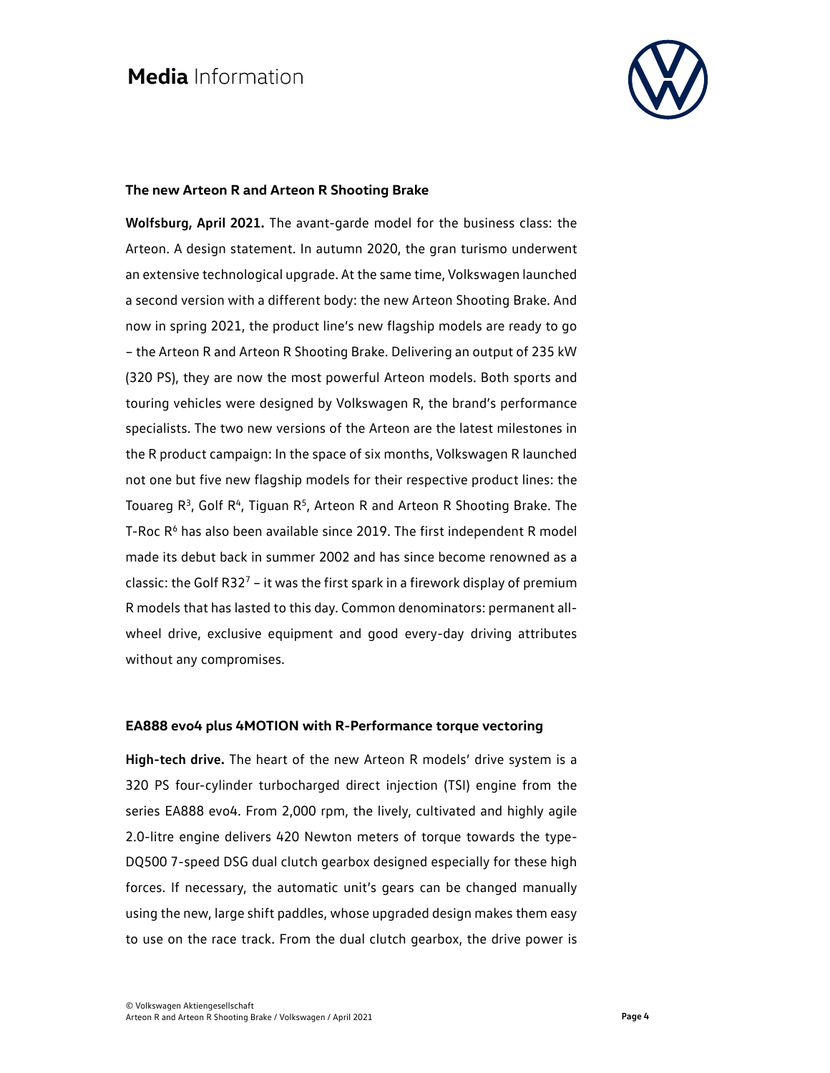

#### **The new Arteon R and Arteon R Shooting Brake**

**Wolfsburg, April 2021.** The avant-garde model for the business class: the Arteon. A design statement. In autumn 2020, the gran turismo underwent an extensive technological upgrade. At the same time, Volkswagen launched a second version with a different body: the new Arteon Shooting Brake. And now in spring 2021, the product line's new flagship models are ready to go – the Arteon R and Arteon R Shooting Brake. Delivering an output of 235 kW (320 PS), they are now the most powerful Arteon models. Both sports and touring vehicles were designed by Volkswagen R, the brand's performance specialists. The two new versions of the Arteon are the latest milestones in the R product campaign: In the space of six months, Volkswagen R launched not one but five new flagship models for their respective product lines: the Touareg  $R^3$ , Golf  $R^4$ , Tiguan  $R^5$ , Arteon R and Arteon R Shooting Brake. The T-Roc  $R<sup>6</sup>$  has also been available since 2019. The first independent R model made its debut back in summer 2002 and has since become renowned as a classic: the Golf R32<sup>7</sup> – it was the first spark in a firework display of premium R models that has lasted to this day. Common denominators: permanent allwheel drive, exclusive equipment and good every-day driving attributes without any compromises.

#### **EA888 evo4 plus 4MOTION with R-Performance torque vectoring**

**High-tech drive.** The heart of the new Arteon R models' drive system is a 320 PS four-cylinder turbocharged direct injection (TSI) engine from the series EA888 evo4. From 2,000 rpm, the lively, cultivated and highly agile 2.0-litre engine delivers 420 Newton meters of torque towards the type-DQ500 7-speed DSG dual clutch gearbox designed especially for these high forces. If necessary, the automatic unit's gears can be changed manually using the new, large shift paddles, whose upgraded design makes them easy to use on the race track. From the dual clutch gearbox, the drive power is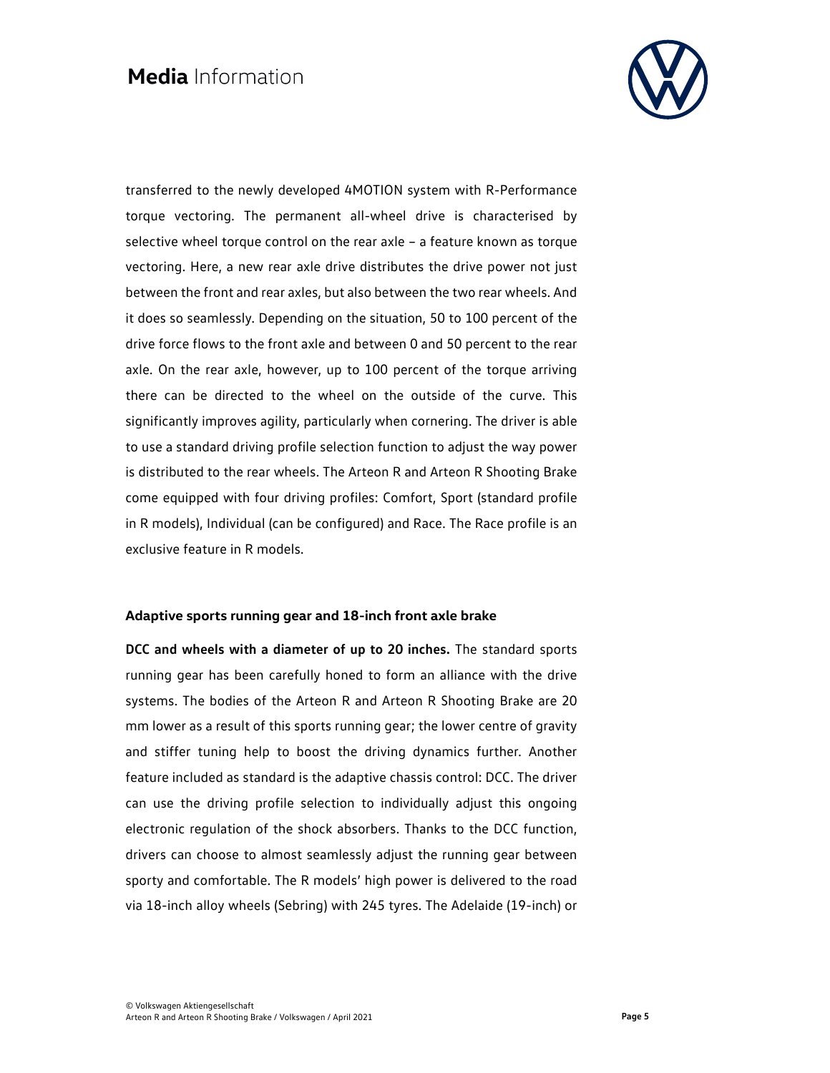

transferred to the newly developed 4MOTION system with R-Performance torque vectoring. The permanent all-wheel drive is characterised by selective wheel torque control on the rear axle – a feature known as torque vectoring. Here, a new rear axle drive distributes the drive power not just between the front and rear axles, but also between the two rear wheels. And it does so seamlessly. Depending on the situation, 50 to 100 percent of the drive force flows to the front axle and between 0 and 50 percent to the rear axle. On the rear axle, however, up to 100 percent of the torque arriving there can be directed to the wheel on the outside of the curve. This significantly improves agility, particularly when cornering. The driver is able to use a standard driving profile selection function to adjust the way power is distributed to the rear wheels. The Arteon R and Arteon R Shooting Brake come equipped with four driving profiles: Comfort, Sport (standard profile in R models), Individual (can be configured) and Race. The Race profile is an exclusive feature in R models.

#### **Adaptive sports running gear and 18-inch front axle brake**

**DCC and wheels with a diameter of up to 20 inches.** The standard sports running gear has been carefully honed to form an alliance with the drive systems. The bodies of the Arteon R and Arteon R Shooting Brake are 20 mm lower as a result of this sports running gear; the lower centre of gravity and stiffer tuning help to boost the driving dynamics further. Another feature included as standard is the adaptive chassis control: DCC. The driver can use the driving profile selection to individually adjust this ongoing electronic regulation of the shock absorbers. Thanks to the DCC function, drivers can choose to almost seamlessly adjust the running gear between sporty and comfortable. The R models' high power is delivered to the road via 18-inch alloy wheels (Sebring) with 245 tyres. The Adelaide (19-inch) or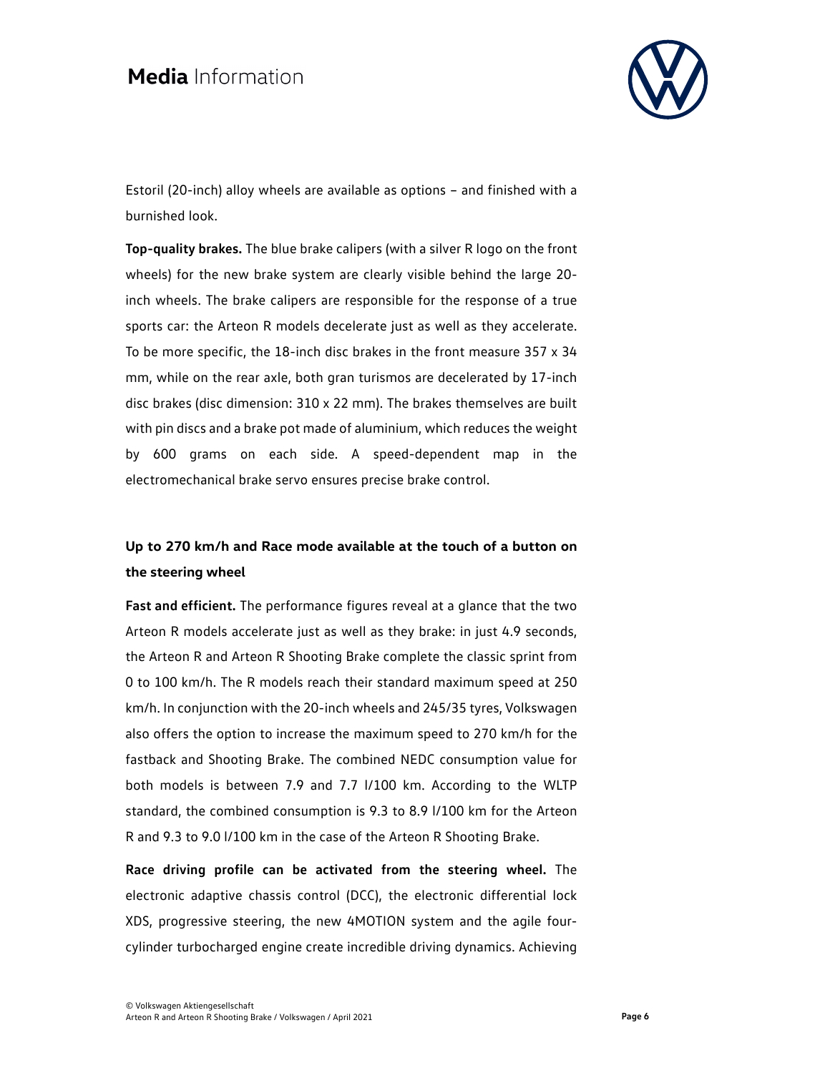

Estoril (20-inch) alloy wheels are available as options – and finished with a burnished look.

**Top-quality brakes.** The blue brake calipers (with a silver R logo on the front wheels) for the new brake system are clearly visible behind the large 20 inch wheels. The brake calipers are responsible for the response of a true sports car: the Arteon R models decelerate just as well as they accelerate. To be more specific, the 18-inch disc brakes in the front measure 357 x 34 mm, while on the rear axle, both gran turismos are decelerated by 17-inch disc brakes (disc dimension: 310 x 22 mm). The brakes themselves are built with pin discs and a brake pot made of aluminium, which reduces the weight by 600 grams on each side. A speed-dependent map in the electromechanical brake servo ensures precise brake control.

### **Up to 270 km/h and Race mode available at the touch of a button on the steering wheel**

**Fast and efficient.** The performance figures reveal at a glance that the two Arteon R models accelerate just as well as they brake: in just 4.9 seconds, the Arteon R and Arteon R Shooting Brake complete the classic sprint from 0 to 100 km/h. The R models reach their standard maximum speed at 250 km/h. In conjunction with the 20-inch wheels and 245/35 tyres, Volkswagen also offers the option to increase the maximum speed to 270 km/h for the fastback and Shooting Brake. The combined NEDC consumption value for both models is between 7.9 and 7.7 l/100 km. According to the WLTP standard, the combined consumption is 9.3 to 8.9 l/100 km for the Arteon R and 9.3 to 9.0 l/100 km in the case of the Arteon R Shooting Brake.

**Race driving profile can be activated from the steering wheel.** The electronic adaptive chassis control (DCC), the electronic differential lock XDS, progressive steering, the new 4MOTION system and the agile fourcylinder turbocharged engine create incredible driving dynamics. Achieving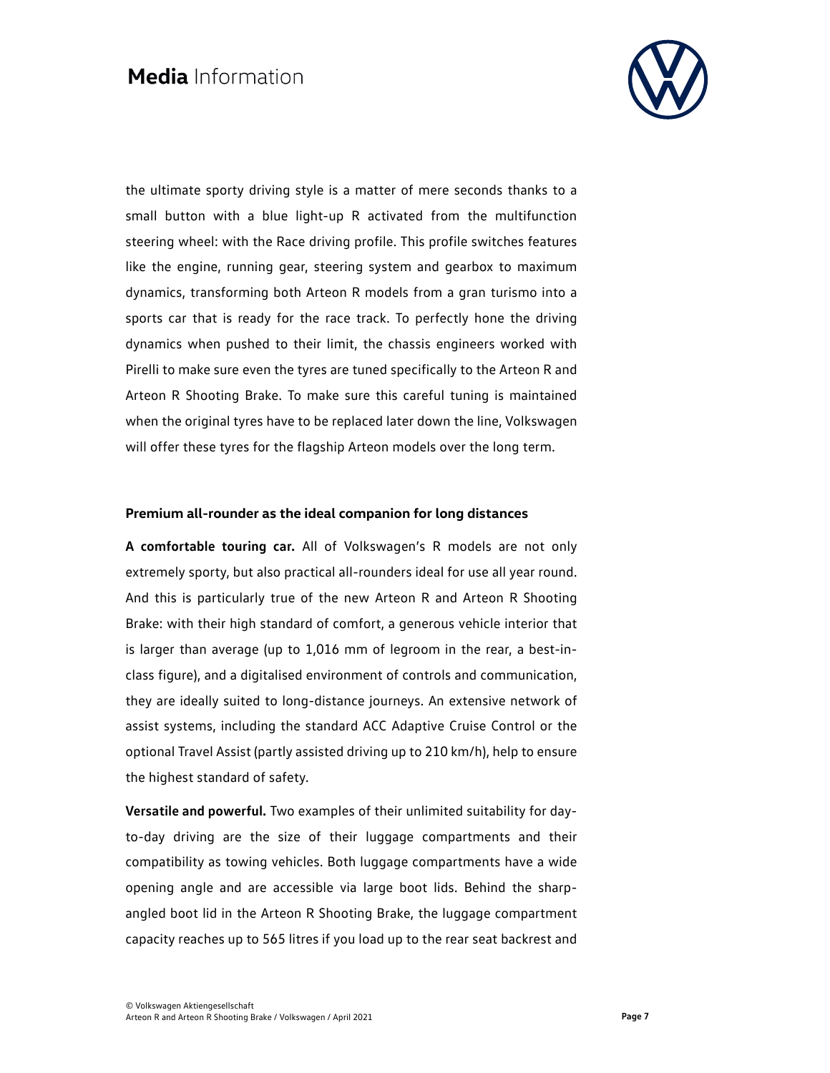

the ultimate sporty driving style is a matter of mere seconds thanks to a small button with a blue light-up R activated from the multifunction steering wheel: with the Race driving profile. This profile switches features like the engine, running gear, steering system and gearbox to maximum dynamics, transforming both Arteon R models from a gran turismo into a sports car that is ready for the race track. To perfectly hone the driving dynamics when pushed to their limit, the chassis engineers worked with Pirelli to make sure even the tyres are tuned specifically to the Arteon R and Arteon R Shooting Brake. To make sure this careful tuning is maintained when the original tyres have to be replaced later down the line, Volkswagen will offer these tyres for the flagship Arteon models over the long term.

#### **Premium all-rounder as the ideal companion for long distances**

**A comfortable touring car.** All of Volkswagen's R models are not only extremely sporty, but also practical all-rounders ideal for use all year round. And this is particularly true of the new Arteon R and Arteon R Shooting Brake: with their high standard of comfort, a generous vehicle interior that is larger than average (up to 1,016 mm of legroom in the rear, a best-inclass figure), and a digitalised environment of controls and communication, they are ideally suited to long-distance journeys. An extensive network of assist systems, including the standard ACC Adaptive Cruise Control or the optional Travel Assist (partly assisted driving up to 210 km/h), help to ensure the highest standard of safety.

**Versatile and powerful.** Two examples of their unlimited suitability for dayto-day driving are the size of their luggage compartments and their compatibility as towing vehicles. Both luggage compartments have a wide opening angle and are accessible via large boot lids. Behind the sharpangled boot lid in the Arteon R Shooting Brake, the luggage compartment capacity reaches up to 565 litres if you load up to the rear seat backrest and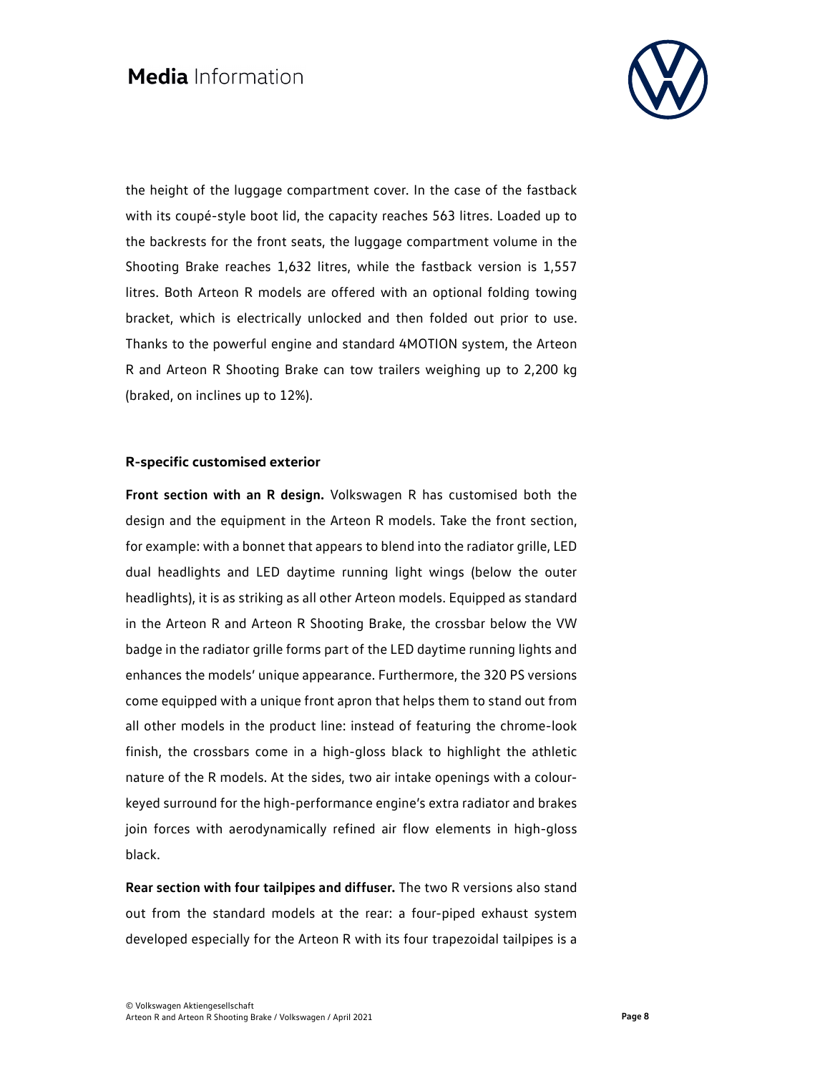

the height of the luggage compartment cover. In the case of the fastback with its coupé-style boot lid, the capacity reaches 563 litres. Loaded up to the backrests for the front seats, the luggage compartment volume in the Shooting Brake reaches 1,632 litres, while the fastback version is 1,557 litres. Both Arteon R models are offered with an optional folding towing bracket, which is electrically unlocked and then folded out prior to use. Thanks to the powerful engine and standard 4MOTION system, the Arteon R and Arteon R Shooting Brake can tow trailers weighing up to 2,200 kg (braked, on inclines up to 12%).

#### **R-specific customised exterior**

**Front section with an R design.** Volkswagen R has customised both the design and the equipment in the Arteon R models. Take the front section, for example: with a bonnet that appears to blend into the radiator grille, LED dual headlights and LED daytime running light wings (below the outer headlights), it is as striking as all other Arteon models. Equipped as standard in the Arteon R and Arteon R Shooting Brake, the crossbar below the VW badge in the radiator grille forms part of the LED daytime running lights and enhances the models' unique appearance. Furthermore, the 320 PS versions come equipped with a unique front apron that helps them to stand out from all other models in the product line: instead of featuring the chrome-look finish, the crossbars come in a high-gloss black to highlight the athletic nature of the R models. At the sides, two air intake openings with a colourkeyed surround for the high-performance engine's extra radiator and brakes join forces with aerodynamically refined air flow elements in high-gloss black.

**Rear section with four tailpipes and diffuser.** The two R versions also stand out from the standard models at the rear: a four-piped exhaust system developed especially for the Arteon R with its four trapezoidal tailpipes is a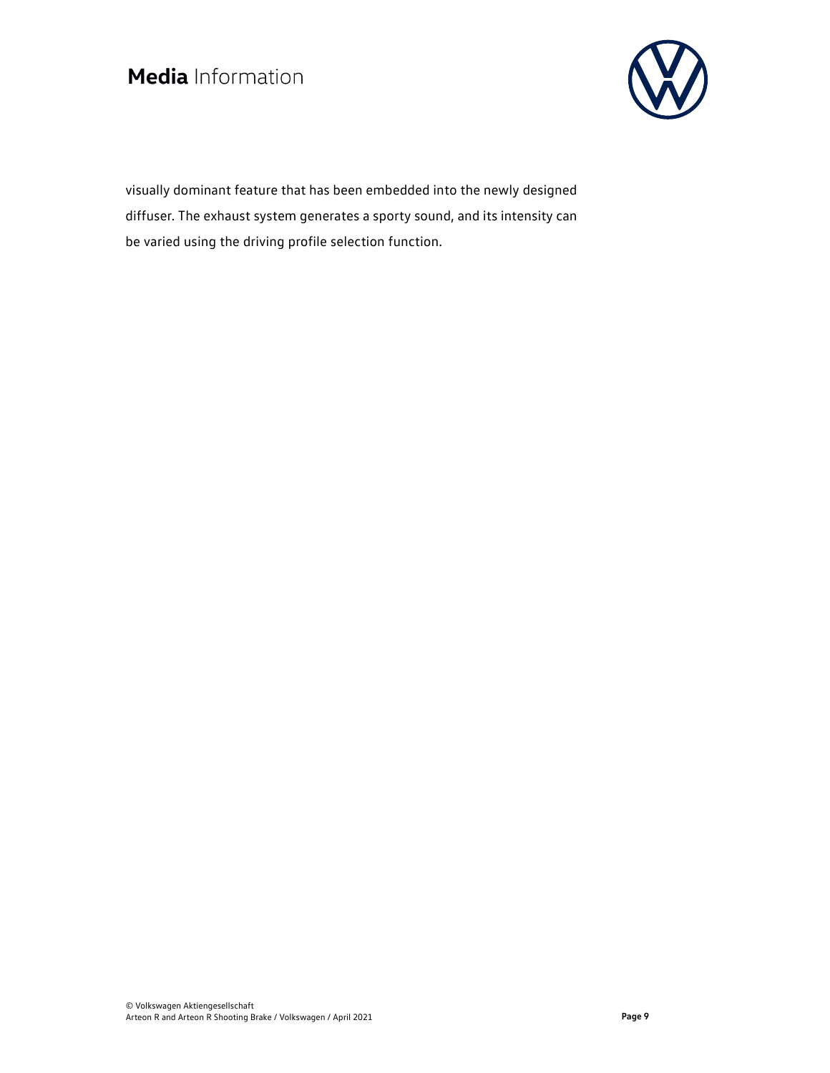

visually dominant feature that has been embedded into the newly designed diffuser. The exhaust system generates a sporty sound, and its intensity can be varied using the driving profile selection function.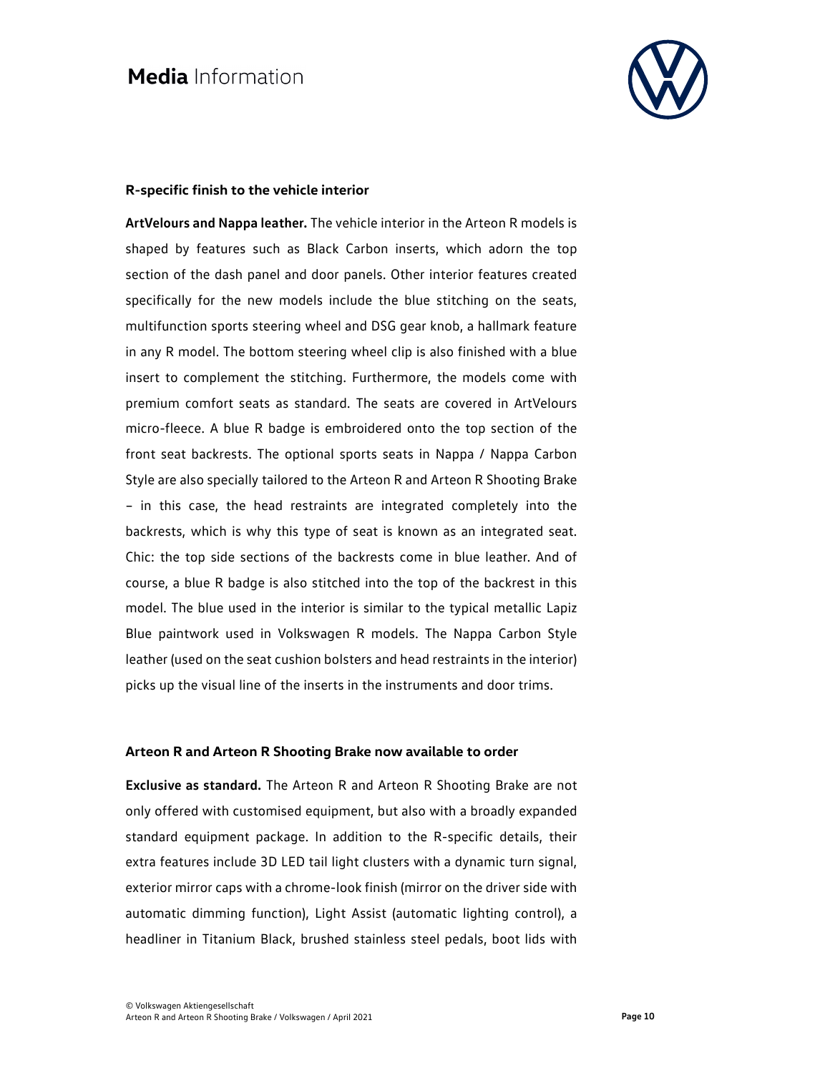

#### **R-specific finish to the vehicle interior**

**ArtVelours and Nappa leather.** The vehicle interior in the Arteon R models is shaped by features such as Black Carbon inserts, which adorn the top section of the dash panel and door panels. Other interior features created specifically for the new models include the blue stitching on the seats, multifunction sports steering wheel and DSG gear knob, a hallmark feature in any R model. The bottom steering wheel clip is also finished with a blue insert to complement the stitching. Furthermore, the models come with premium comfort seats as standard. The seats are covered in ArtVelours micro-fleece. A blue R badge is embroidered onto the top section of the front seat backrests. The optional sports seats in Nappa / Nappa Carbon Style are also specially tailored to the Arteon R and Arteon R Shooting Brake – in this case, the head restraints are integrated completely into the backrests, which is why this type of seat is known as an integrated seat. Chic: the top side sections of the backrests come in blue leather. And of course, a blue R badge is also stitched into the top of the backrest in this model. The blue used in the interior is similar to the typical metallic Lapiz Blue paintwork used in Volkswagen R models. The Nappa Carbon Style leather (used on the seat cushion bolsters and head restraints in the interior) picks up the visual line of the inserts in the instruments and door trims.

#### **Arteon R and Arteon R Shooting Brake now available to order**

**Exclusive as standard.** The Arteon R and Arteon R Shooting Brake are not only offered with customised equipment, but also with a broadly expanded standard equipment package. In addition to the R-specific details, their extra features include 3D LED tail light clusters with a dynamic turn signal, exterior mirror caps with a chrome-look finish (mirror on the driver side with automatic dimming function), Light Assist (automatic lighting control), a headliner in Titanium Black, brushed stainless steel pedals, boot lids with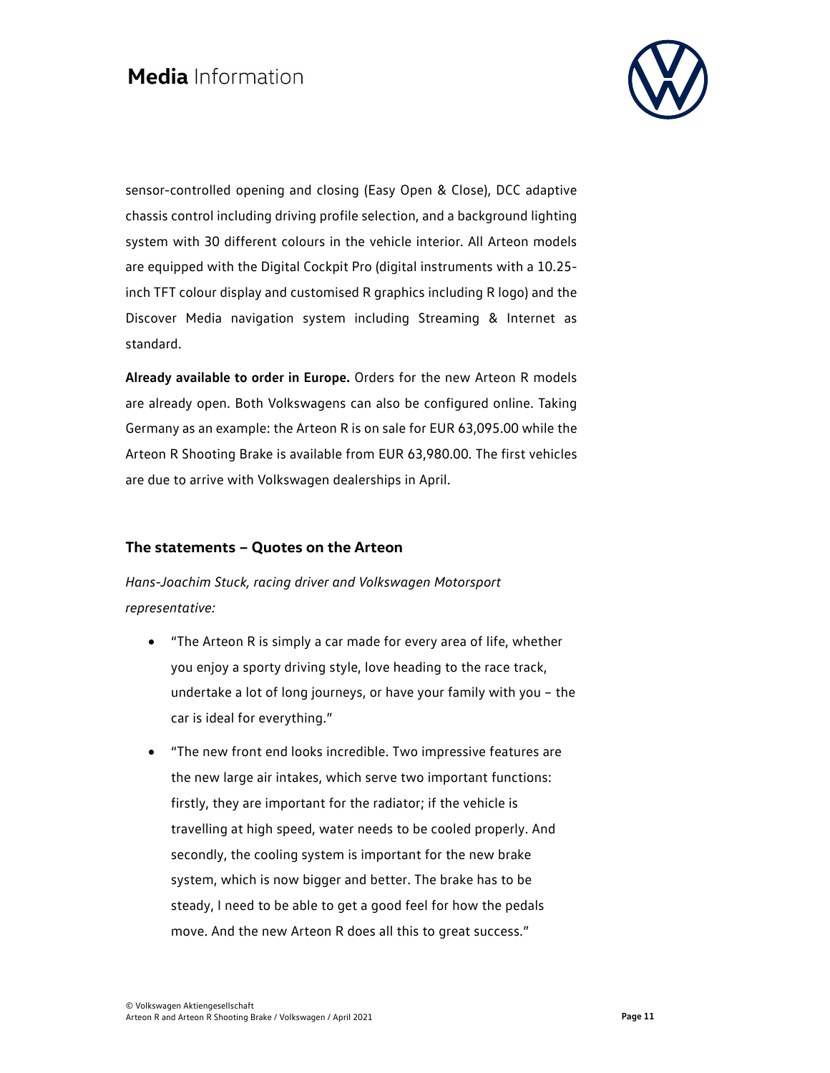

sensor-controlled opening and closing (Easy Open & Close), DCC adaptive chassis control including driving profile selection, and a background lighting system with 30 different colours in the vehicle interior. All Arteon models are equipped with the Digital Cockpit Pro (digital instruments with a 10.25 inch TFT colour display and customised R graphics including R logo) and the Discover Media navigation system including Streaming & Internet as standard.

**Already available to order in Europe.** Orders for the new Arteon R models are already open. Both Volkswagens can also be configured online. Taking Germany as an example: the Arteon R is on sale for EUR 63,095.00 while the Arteon R Shooting Brake is available from EUR 63,980.00. The first vehicles are due to arrive with Volkswagen dealerships in April.

### **The statements – Quotes on the Arteon**

*Hans-Joachim Stuck, racing driver and Volkswagen Motorsport representative:* 

- "The Arteon R is simply a car made for every area of life, whether you enjoy a sporty driving style, love heading to the race track, undertake a lot of long journeys, or have your family with you – the car is ideal for everything."
- "The new front end looks incredible. Two impressive features are the new large air intakes, which serve two important functions: firstly, they are important for the radiator; if the vehicle is travelling at high speed, water needs to be cooled properly. And secondly, the cooling system is important for the new brake system, which is now bigger and better. The brake has to be steady, I need to be able to get a good feel for how the pedals move. And the new Arteon R does all this to great success."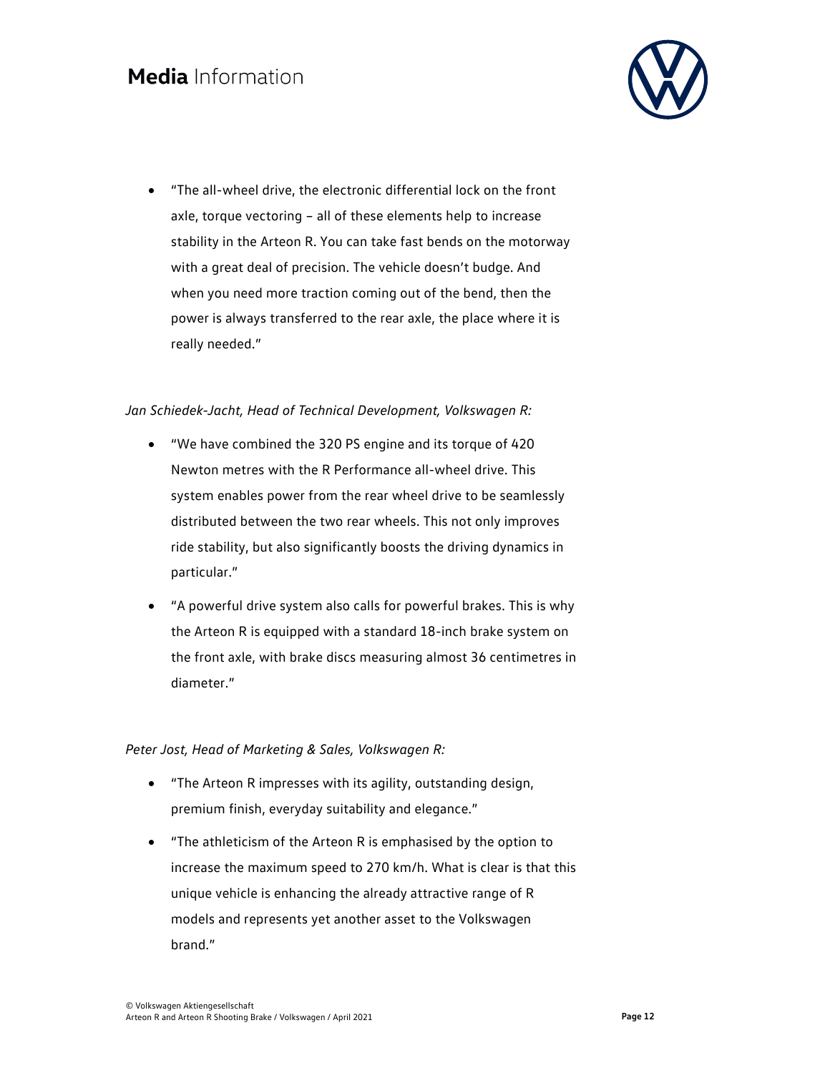

 "The all-wheel drive, the electronic differential lock on the front axle, torque vectoring – all of these elements help to increase stability in the Arteon R. You can take fast bends on the motorway with a great deal of precision. The vehicle doesn't budge. And when you need more traction coming out of the bend, then the power is always transferred to the rear axle, the place where it is really needed."

#### *Jan Schiedek-Jacht, Head of Technical Development, Volkswagen R:*

- "We have combined the 320 PS engine and its torque of 420 Newton metres with the R Performance all-wheel drive. This system enables power from the rear wheel drive to be seamlessly distributed between the two rear wheels. This not only improves ride stability, but also significantly boosts the driving dynamics in particular."
- "A powerful drive system also calls for powerful brakes. This is why the Arteon R is equipped with a standard 18-inch brake system on the front axle, with brake discs measuring almost 36 centimetres in diameter."

#### *Peter Jost, Head of Marketing & Sales, Volkswagen R:*

- "The Arteon R impresses with its agility, outstanding design, premium finish, everyday suitability and elegance."
- "The athleticism of the Arteon R is emphasised by the option to increase the maximum speed to 270 km/h. What is clear is that this unique vehicle is enhancing the already attractive range of R models and represents yet another asset to the Volkswagen brand."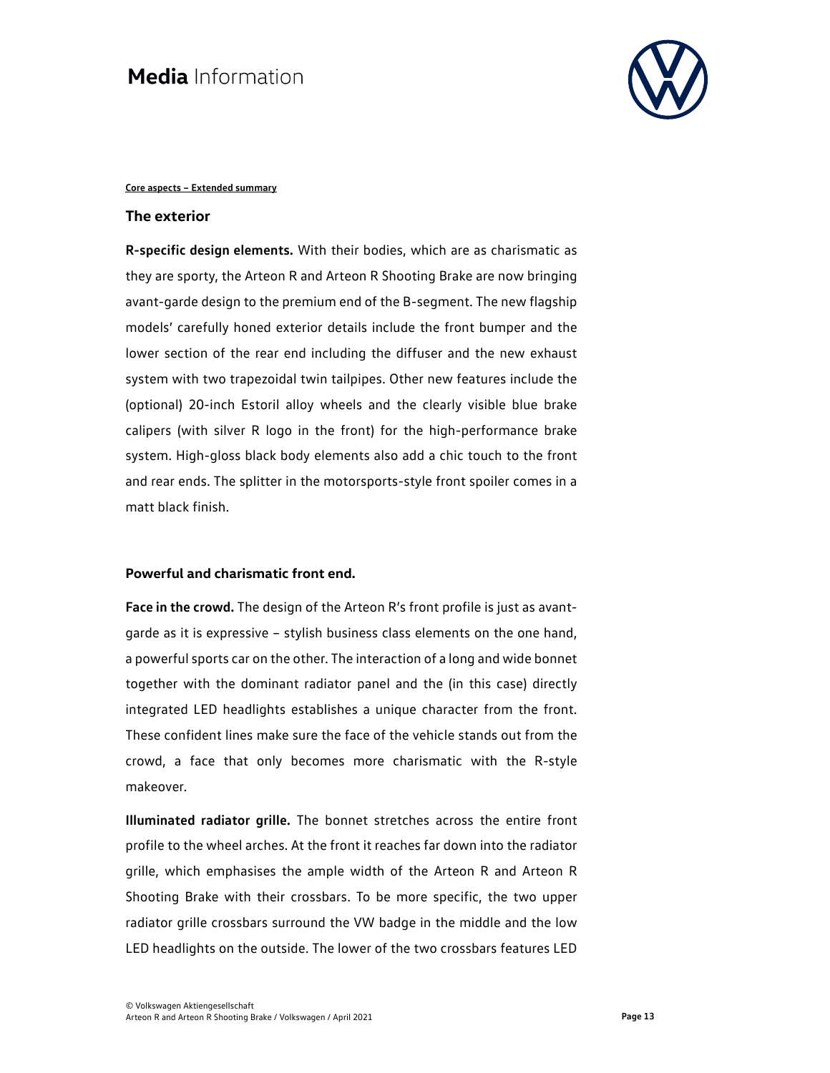

#### **Core aspects – Extended summary**

#### **The exterior**

**R-specific design elements.** With their bodies, which are as charismatic as they are sporty, the Arteon R and Arteon R Shooting Brake are now bringing avant-garde design to the premium end of the B-segment. The new flagship models' carefully honed exterior details include the front bumper and the lower section of the rear end including the diffuser and the new exhaust system with two trapezoidal twin tailpipes. Other new features include the (optional) 20-inch Estoril alloy wheels and the clearly visible blue brake calipers (with silver R logo in the front) for the high-performance brake system. High-gloss black body elements also add a chic touch to the front and rear ends. The splitter in the motorsports-style front spoiler comes in a matt black finish.

#### **Powerful and charismatic front end.**

**Face in the crowd.** The design of the Arteon R's front profile is just as avantgarde as it is expressive – stylish business class elements on the one hand, a powerful sports car on the other. The interaction of a long and wide bonnet together with the dominant radiator panel and the (in this case) directly integrated LED headlights establishes a unique character from the front. These confident lines make sure the face of the vehicle stands out from the crowd, a face that only becomes more charismatic with the R-style makeover.

**Illuminated radiator grille.** The bonnet stretches across the entire front profile to the wheel arches. At the front it reaches far down into the radiator grille, which emphasises the ample width of the Arteon R and Arteon R Shooting Brake with their crossbars. To be more specific, the two upper radiator grille crossbars surround the VW badge in the middle and the low LED headlights on the outside. The lower of the two crossbars features LED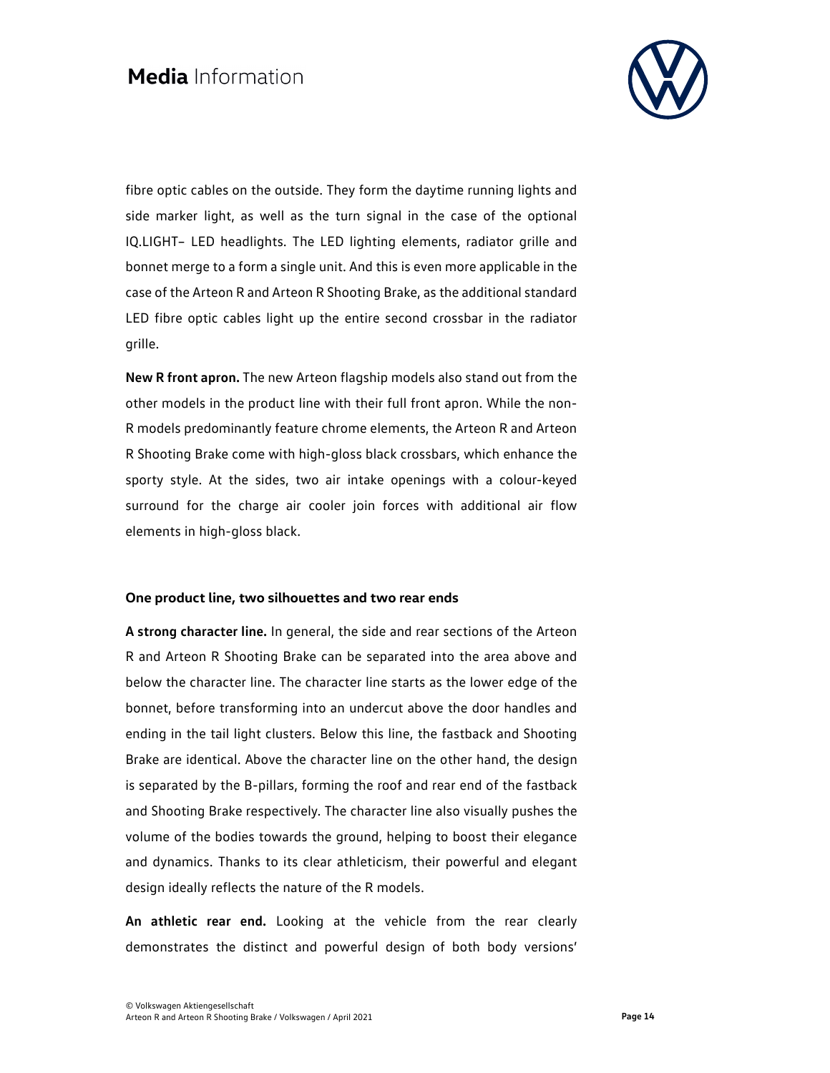

fibre optic cables on the outside. They form the daytime running lights and side marker light, as well as the turn signal in the case of the optional IQ.LIGHT– LED headlights. The LED lighting elements, radiator grille and bonnet merge to a form a single unit. And this is even more applicable in the case of the Arteon R and Arteon R Shooting Brake, as the additional standard LED fibre optic cables light up the entire second crossbar in the radiator grille.

**New R front apron.** The new Arteon flagship models also stand out from the other models in the product line with their full front apron. While the non-R models predominantly feature chrome elements, the Arteon R and Arteon R Shooting Brake come with high-gloss black crossbars, which enhance the sporty style. At the sides, two air intake openings with a colour-keyed surround for the charge air cooler join forces with additional air flow elements in high-gloss black.

#### **One product line, two silhouettes and two rear ends**

**A strong character line.** In general, the side and rear sections of the Arteon R and Arteon R Shooting Brake can be separated into the area above and below the character line. The character line starts as the lower edge of the bonnet, before transforming into an undercut above the door handles and ending in the tail light clusters. Below this line, the fastback and Shooting Brake are identical. Above the character line on the other hand, the design is separated by the B-pillars, forming the roof and rear end of the fastback and Shooting Brake respectively. The character line also visually pushes the volume of the bodies towards the ground, helping to boost their elegance and dynamics. Thanks to its clear athleticism, their powerful and elegant design ideally reflects the nature of the R models.

**An athletic rear end.** Looking at the vehicle from the rear clearly demonstrates the distinct and powerful design of both body versions'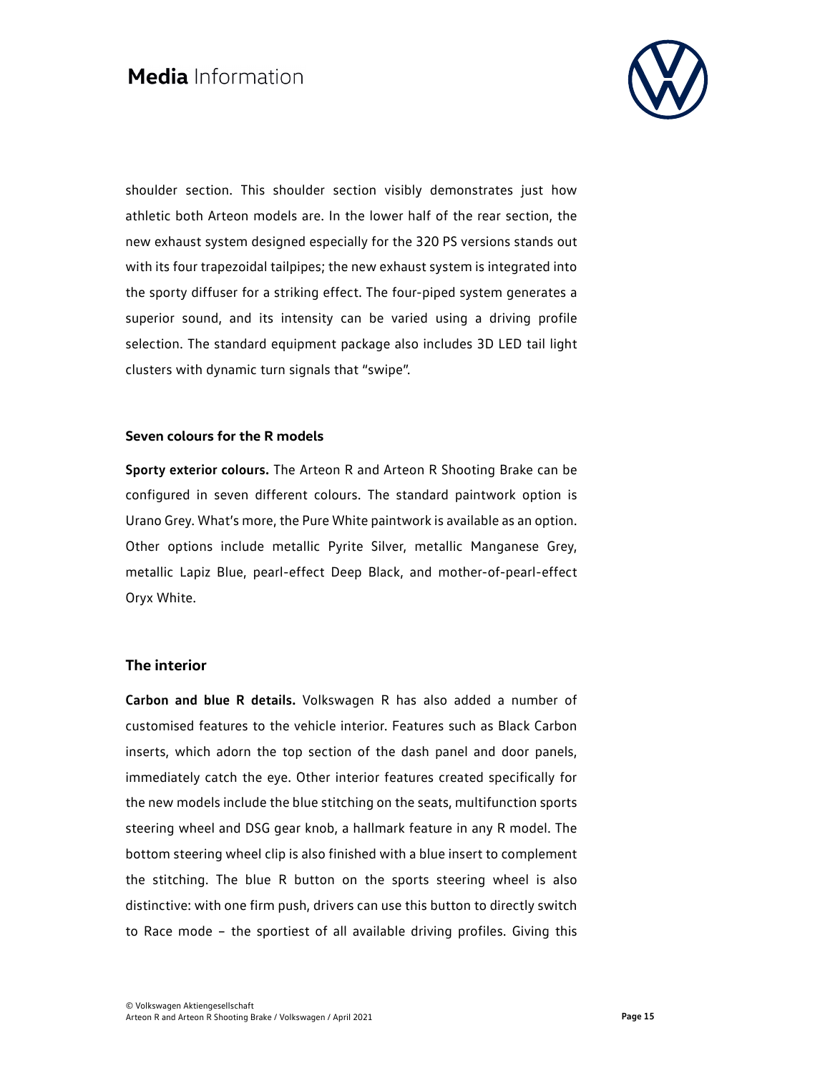

shoulder section. This shoulder section visibly demonstrates just how athletic both Arteon models are. In the lower half of the rear section, the new exhaust system designed especially for the 320 PS versions stands out with its four trapezoidal tailpipes; the new exhaust system is integrated into the sporty diffuser for a striking effect. The four-piped system generates a superior sound, and its intensity can be varied using a driving profile selection. The standard equipment package also includes 3D LED tail light clusters with dynamic turn signals that "swipe".

#### **Seven colours for the R models**

**Sporty exterior colours.** The Arteon R and Arteon R Shooting Brake can be configured in seven different colours. The standard paintwork option is Urano Grey. What's more, the Pure White paintwork is available as an option. Other options include metallic Pyrite Silver, metallic Manganese Grey, metallic Lapiz Blue, pearl-effect Deep Black, and mother-of-pearl-effect Oryx White.

#### **The interior**

**Carbon and blue R details.** Volkswagen R has also added a number of customised features to the vehicle interior. Features such as Black Carbon inserts, which adorn the top section of the dash panel and door panels, immediately catch the eye. Other interior features created specifically for the new models include the blue stitching on the seats, multifunction sports steering wheel and DSG gear knob, a hallmark feature in any R model. The bottom steering wheel clip is also finished with a blue insert to complement the stitching. The blue R button on the sports steering wheel is also distinctive: with one firm push, drivers can use this button to directly switch to Race mode – the sportiest of all available driving profiles. Giving this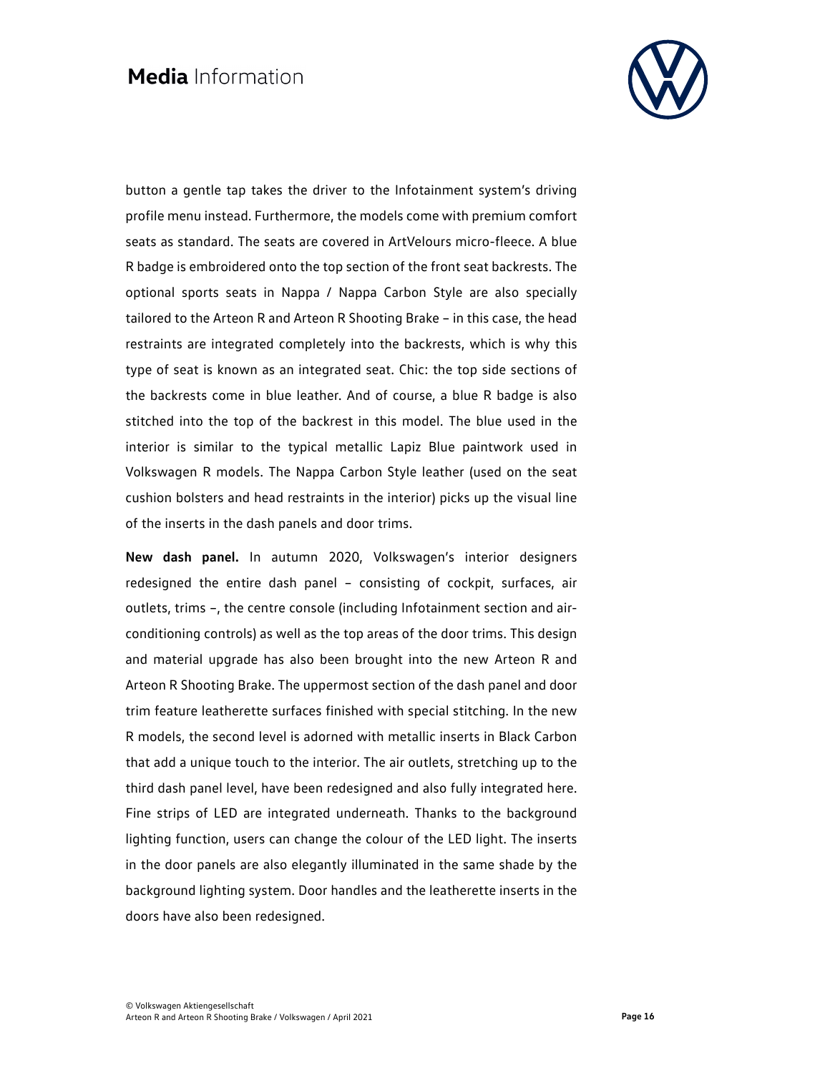

button a gentle tap takes the driver to the Infotainment system's driving profile menu instead. Furthermore, the models come with premium comfort seats as standard. The seats are covered in ArtVelours micro-fleece. A blue R badge is embroidered onto the top section of the front seat backrests. The optional sports seats in Nappa / Nappa Carbon Style are also specially tailored to the Arteon R and Arteon R Shooting Brake – in this case, the head restraints are integrated completely into the backrests, which is why this type of seat is known as an integrated seat. Chic: the top side sections of the backrests come in blue leather. And of course, a blue R badge is also stitched into the top of the backrest in this model. The blue used in the interior is similar to the typical metallic Lapiz Blue paintwork used in Volkswagen R models. The Nappa Carbon Style leather (used on the seat cushion bolsters and head restraints in the interior) picks up the visual line of the inserts in the dash panels and door trims.

**New dash panel.** In autumn 2020, Volkswagen's interior designers redesigned the entire dash panel – consisting of cockpit, surfaces, air outlets, trims –, the centre console (including Infotainment section and airconditioning controls) as well as the top areas of the door trims. This design and material upgrade has also been brought into the new Arteon R and Arteon R Shooting Brake. The uppermost section of the dash panel and door trim feature leatherette surfaces finished with special stitching. In the new R models, the second level is adorned with metallic inserts in Black Carbon that add a unique touch to the interior. The air outlets, stretching up to the third dash panel level, have been redesigned and also fully integrated here. Fine strips of LED are integrated underneath. Thanks to the background lighting function, users can change the colour of the LED light. The inserts in the door panels are also elegantly illuminated in the same shade by the background lighting system. Door handles and the leatherette inserts in the doors have also been redesigned.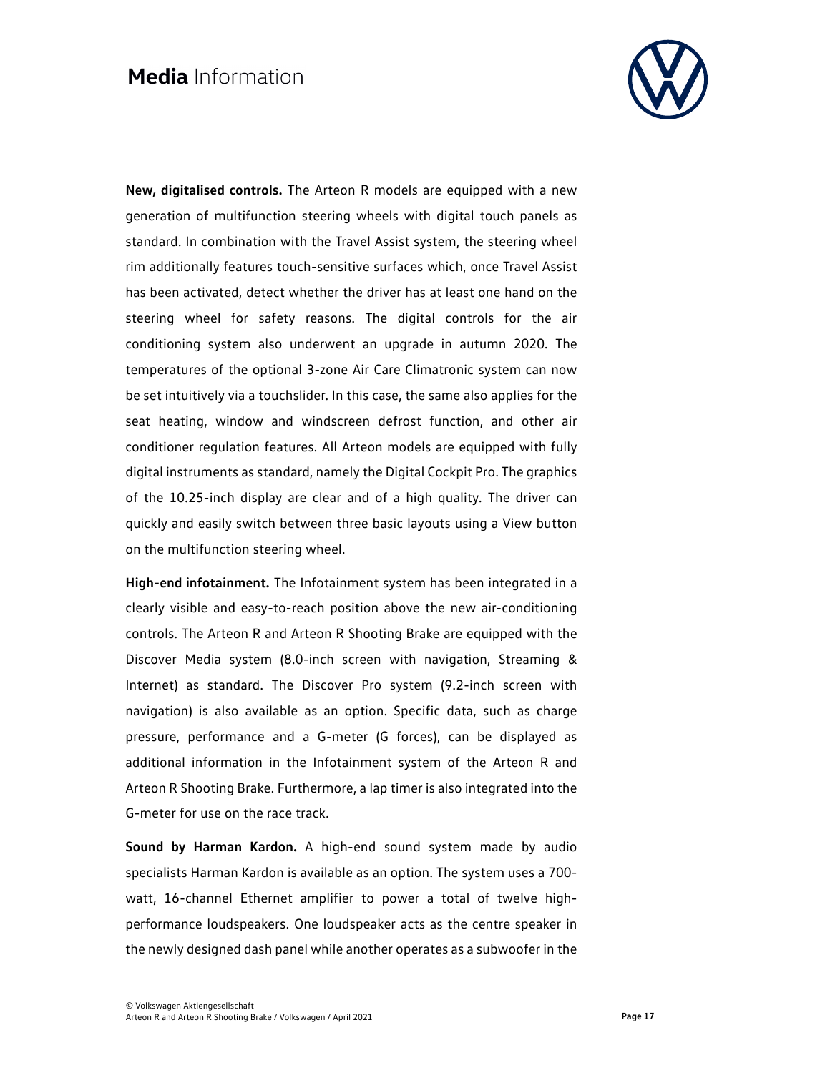

**New, digitalised controls.** The Arteon R models are equipped with a new generation of multifunction steering wheels with digital touch panels as standard. In combination with the Travel Assist system, the steering wheel rim additionally features touch-sensitive surfaces which, once Travel Assist has been activated, detect whether the driver has at least one hand on the steering wheel for safety reasons. The digital controls for the air conditioning system also underwent an upgrade in autumn 2020. The temperatures of the optional 3-zone Air Care Climatronic system can now be set intuitively via a touchslider. In this case, the same also applies for the seat heating, window and windscreen defrost function, and other air conditioner regulation features. All Arteon models are equipped with fully digital instruments as standard, namely the Digital Cockpit Pro. The graphics of the 10.25-inch display are clear and of a high quality. The driver can quickly and easily switch between three basic layouts using a View button on the multifunction steering wheel.

**High-end infotainment.** The Infotainment system has been integrated in a clearly visible and easy-to-reach position above the new air-conditioning controls. The Arteon R and Arteon R Shooting Brake are equipped with the Discover Media system (8.0-inch screen with navigation, Streaming & Internet) as standard. The Discover Pro system (9.2-inch screen with navigation) is also available as an option. Specific data, such as charge pressure, performance and a G-meter (G forces), can be displayed as additional information in the Infotainment system of the Arteon R and Arteon R Shooting Brake. Furthermore, a lap timer is also integrated into the G-meter for use on the race track.

**Sound by Harman Kardon.** A high-end sound system made by audio specialists Harman Kardon is available as an option. The system uses a 700 watt, 16-channel Ethernet amplifier to power a total of twelve highperformance loudspeakers. One loudspeaker acts as the centre speaker in the newly designed dash panel while another operates as a subwoofer in the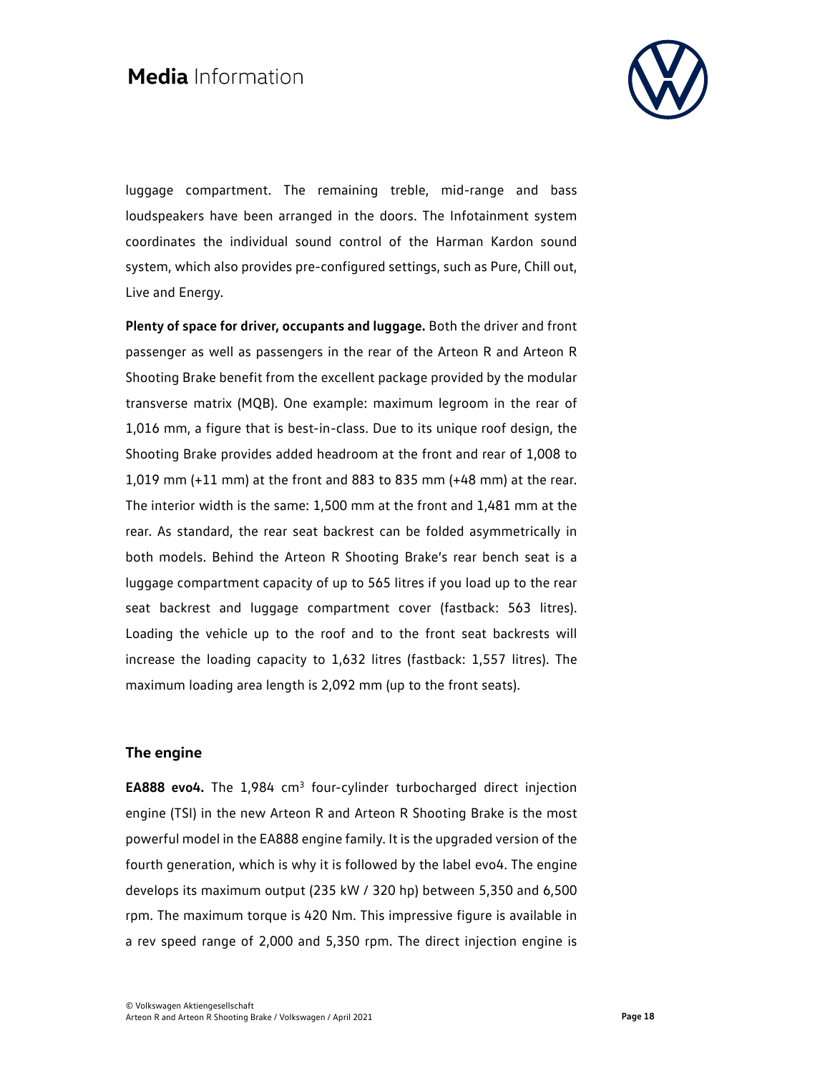

luggage compartment. The remaining treble, mid-range and bass loudspeakers have been arranged in the doors. The Infotainment system coordinates the individual sound control of the Harman Kardon sound system, which also provides pre-configured settings, such as Pure, Chill out, Live and Energy.

**Plenty of space for driver, occupants and luggage.** Both the driver and front passenger as well as passengers in the rear of the Arteon R and Arteon R Shooting Brake benefit from the excellent package provided by the modular transverse matrix (MQB). One example: maximum legroom in the rear of 1,016 mm, a figure that is best-in-class. Due to its unique roof design, the Shooting Brake provides added headroom at the front and rear of 1,008 to 1,019 mm (+11 mm) at the front and 883 to 835 mm (+48 mm) at the rear. The interior width is the same: 1,500 mm at the front and 1,481 mm at the rear. As standard, the rear seat backrest can be folded asymmetrically in both models. Behind the Arteon R Shooting Brake's rear bench seat is a luggage compartment capacity of up to 565 litres if you load up to the rear seat backrest and luggage compartment cover (fastback: 563 litres). Loading the vehicle up to the roof and to the front seat backrests will increase the loading capacity to 1,632 litres (fastback: 1,557 litres). The maximum loading area length is 2,092 mm (up to the front seats).

### **The engine**

EA888 evo4. The 1,984 cm<sup>3</sup> four-cylinder turbocharged direct injection engine (TSI) in the new Arteon R and Arteon R Shooting Brake is the most powerful model in the EA888 engine family. It is the upgraded version of the fourth generation, which is why it is followed by the label evo4. The engine develops its maximum output (235 kW / 320 hp) between 5,350 and 6,500 rpm. The maximum torque is 420 Nm. This impressive figure is available in a rev speed range of 2,000 and 5,350 rpm. The direct injection engine is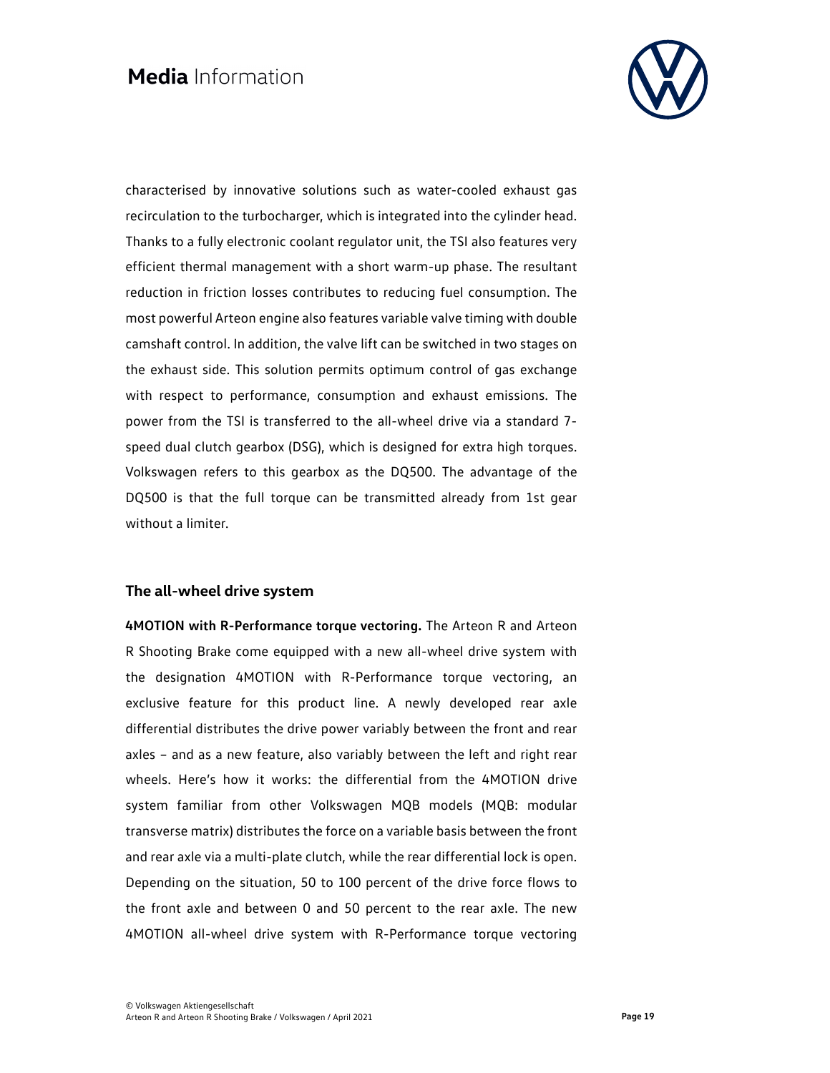

characterised by innovative solutions such as water-cooled exhaust gas recirculation to the turbocharger, which is integrated into the cylinder head. Thanks to a fully electronic coolant regulator unit, the TSI also features very efficient thermal management with a short warm-up phase. The resultant reduction in friction losses contributes to reducing fuel consumption. The most powerful Arteon engine also features variable valve timing with double camshaft control. In addition, the valve lift can be switched in two stages on the exhaust side. This solution permits optimum control of gas exchange with respect to performance, consumption and exhaust emissions. The power from the TSI is transferred to the all-wheel drive via a standard 7 speed dual clutch gearbox (DSG), which is designed for extra high torques. Volkswagen refers to this gearbox as the DQ500. The advantage of the DQ500 is that the full torque can be transmitted already from 1st gear without a limiter.

#### **The all-wheel drive system**

**4MOTION with R-Performance torque vectoring.** The Arteon R and Arteon R Shooting Brake come equipped with a new all-wheel drive system with the designation 4MOTION with R-Performance torque vectoring, an exclusive feature for this product line. A newly developed rear axle differential distributes the drive power variably between the front and rear axles – and as a new feature, also variably between the left and right rear wheels. Here's how it works: the differential from the 4MOTION drive system familiar from other Volkswagen MQB models (MQB: modular transverse matrix) distributes the force on a variable basis between the front and rear axle via a multi-plate clutch, while the rear differential lock is open. Depending on the situation, 50 to 100 percent of the drive force flows to the front axle and between 0 and 50 percent to the rear axle. The new 4MOTION all-wheel drive system with R-Performance torque vectoring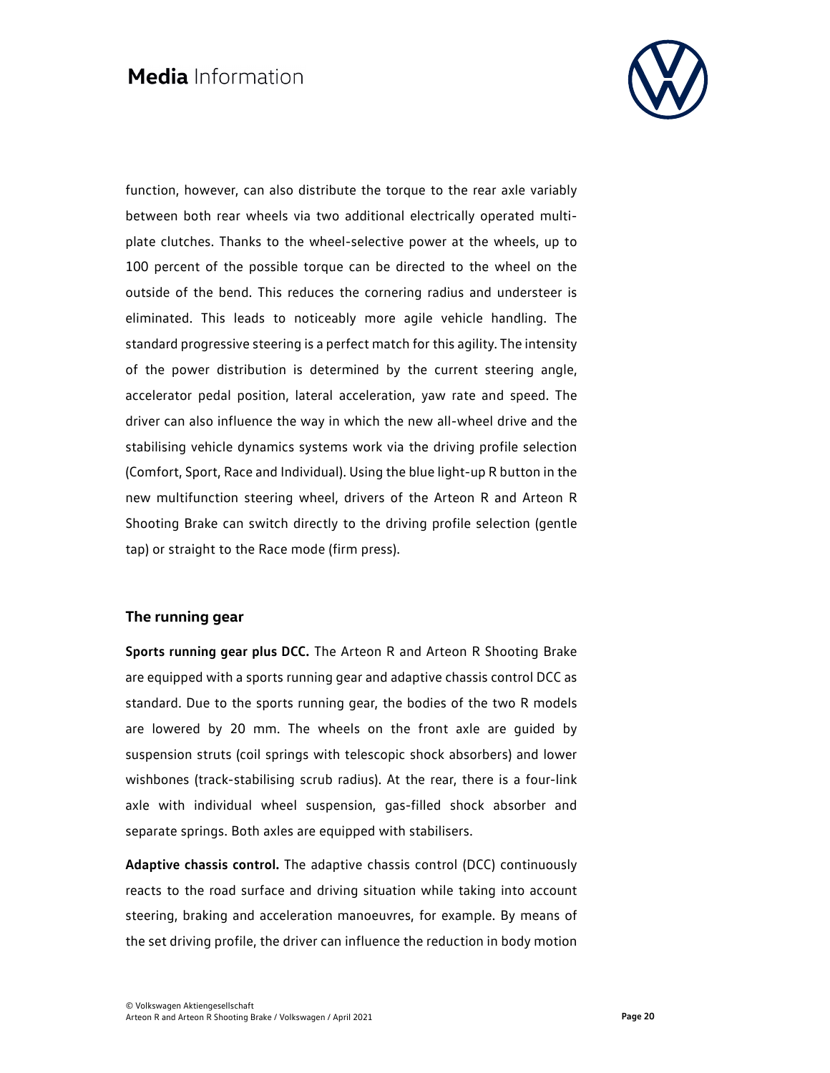

function, however, can also distribute the torque to the rear axle variably between both rear wheels via two additional electrically operated multiplate clutches. Thanks to the wheel-selective power at the wheels, up to 100 percent of the possible torque can be directed to the wheel on the outside of the bend. This reduces the cornering radius and understeer is eliminated. This leads to noticeably more agile vehicle handling. The standard progressive steering is a perfect match for this agility. The intensity of the power distribution is determined by the current steering angle, accelerator pedal position, lateral acceleration, yaw rate and speed. The driver can also influence the way in which the new all-wheel drive and the stabilising vehicle dynamics systems work via the driving profile selection (Comfort, Sport, Race and Individual). Using the blue light-up R button in the new multifunction steering wheel, drivers of the Arteon R and Arteon R Shooting Brake can switch directly to the driving profile selection (gentle tap) or straight to the Race mode (firm press).

#### **The running gear**

**Sports running gear plus DCC.** The Arteon R and Arteon R Shooting Brake are equipped with a sports running gear and adaptive chassis control DCC as standard. Due to the sports running gear, the bodies of the two R models are lowered by 20 mm. The wheels on the front axle are guided by suspension struts (coil springs with telescopic shock absorbers) and lower wishbones (track-stabilising scrub radius). At the rear, there is a four-link axle with individual wheel suspension, gas-filled shock absorber and separate springs. Both axles are equipped with stabilisers.

**Adaptive chassis control.** The adaptive chassis control (DCC) continuously reacts to the road surface and driving situation while taking into account steering, braking and acceleration manoeuvres, for example. By means of the set driving profile, the driver can influence the reduction in body motion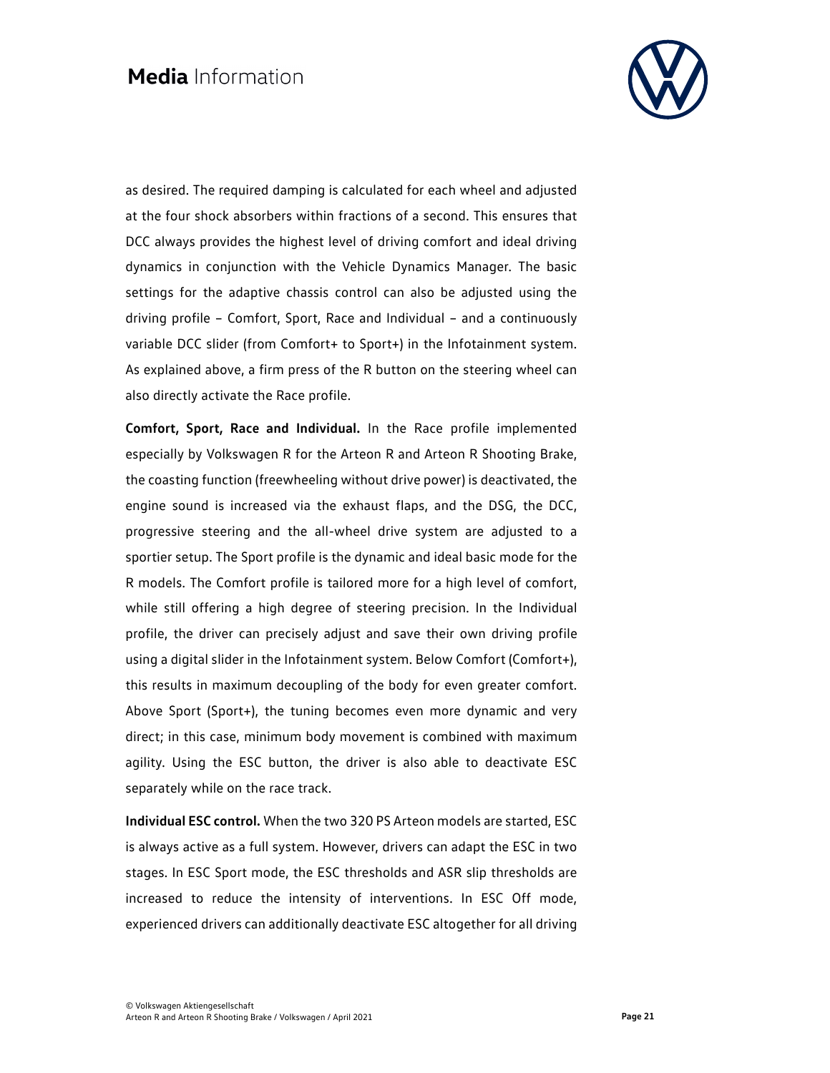

as desired. The required damping is calculated for each wheel and adjusted at the four shock absorbers within fractions of a second. This ensures that DCC always provides the highest level of driving comfort and ideal driving dynamics in conjunction with the Vehicle Dynamics Manager. The basic settings for the adaptive chassis control can also be adjusted using the driving profile – Comfort, Sport, Race and Individual – and a continuously variable DCC slider (from Comfort+ to Sport+) in the Infotainment system. As explained above, a firm press of the R button on the steering wheel can also directly activate the Race profile.

**Comfort, Sport, Race and Individual.** In the Race profile implemented especially by Volkswagen R for the Arteon R and Arteon R Shooting Brake, the coasting function (freewheeling without drive power) is deactivated, the engine sound is increased via the exhaust flaps, and the DSG, the DCC, progressive steering and the all-wheel drive system are adjusted to a sportier setup. The Sport profile is the dynamic and ideal basic mode for the R models. The Comfort profile is tailored more for a high level of comfort, while still offering a high degree of steering precision. In the Individual profile, the driver can precisely adjust and save their own driving profile using a digital slider in the Infotainment system. Below Comfort (Comfort+), this results in maximum decoupling of the body for even greater comfort. Above Sport (Sport+), the tuning becomes even more dynamic and very direct; in this case, minimum body movement is combined with maximum agility. Using the ESC button, the driver is also able to deactivate ESC separately while on the race track.

**Individual ESC control.** When the two 320 PS Arteon models are started, ESC is always active as a full system. However, drivers can adapt the ESC in two stages. In ESC Sport mode, the ESC thresholds and ASR slip thresholds are increased to reduce the intensity of interventions. In ESC Off mode, experienced drivers can additionally deactivate ESC altogether for all driving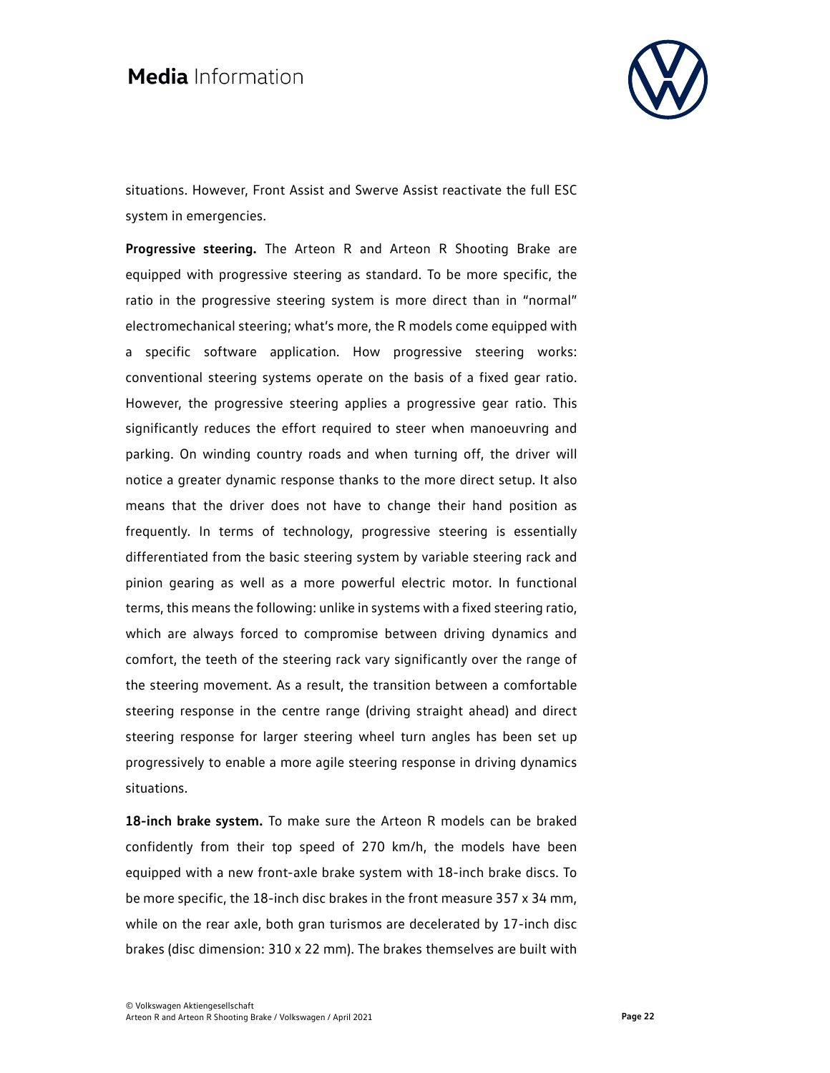

situations. However, Front Assist and Swerve Assist reactivate the full ESC system in emergencies.

**Progressive steering.** The Arteon R and Arteon R Shooting Brake are equipped with progressive steering as standard. To be more specific, the ratio in the progressive steering system is more direct than in "normal" electromechanical steering; what's more, the R models come equipped with a specific software application. How progressive steering works: conventional steering systems operate on the basis of a fixed gear ratio. However, the progressive steering applies a progressive gear ratio. This significantly reduces the effort required to steer when manoeuvring and parking. On winding country roads and when turning off, the driver will notice a greater dynamic response thanks to the more direct setup. It also means that the driver does not have to change their hand position as frequently. In terms of technology, progressive steering is essentially differentiated from the basic steering system by variable steering rack and pinion gearing as well as a more powerful electric motor. In functional terms, this means the following: unlike in systems with a fixed steering ratio, which are always forced to compromise between driving dynamics and comfort, the teeth of the steering rack vary significantly over the range of the steering movement. As a result, the transition between a comfortable steering response in the centre range (driving straight ahead) and direct steering response for larger steering wheel turn angles has been set up progressively to enable a more agile steering response in driving dynamics situations.

**18-inch brake system.** To make sure the Arteon R models can be braked confidently from their top speed of 270 km/h, the models have been equipped with a new front-axle brake system with 18-inch brake discs. To be more specific, the 18-inch disc brakes in the front measure 357 x 34 mm, while on the rear axle, both gran turismos are decelerated by 17-inch disc brakes (disc dimension: 310 x 22 mm). The brakes themselves are built with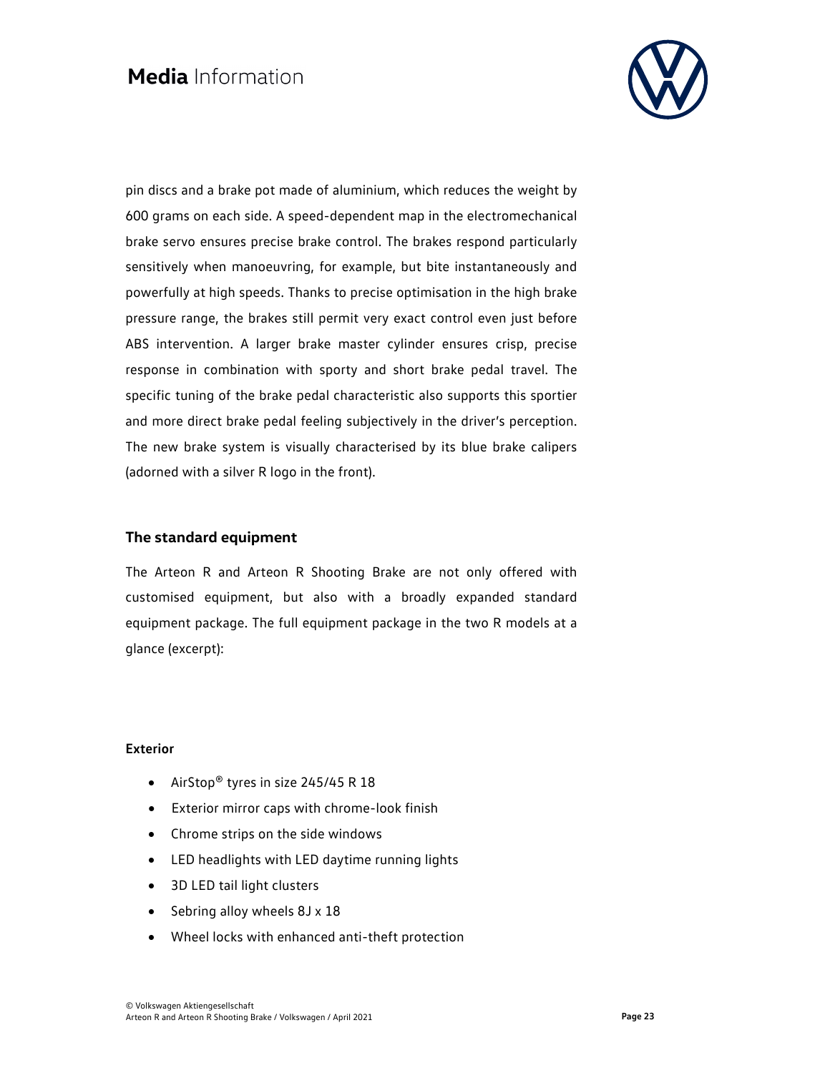

pin discs and a brake pot made of aluminium, which reduces the weight by 600 grams on each side. A speed-dependent map in the electromechanical brake servo ensures precise brake control. The brakes respond particularly sensitively when manoeuvring, for example, but bite instantaneously and powerfully at high speeds. Thanks to precise optimisation in the high brake pressure range, the brakes still permit very exact control even just before ABS intervention. A larger brake master cylinder ensures crisp, precise response in combination with sporty and short brake pedal travel. The specific tuning of the brake pedal characteristic also supports this sportier and more direct brake pedal feeling subjectively in the driver's perception. The new brake system is visually characterised by its blue brake calipers (adorned with a silver R logo in the front).

### **The standard equipment**

The Arteon R and Arteon R Shooting Brake are not only offered with customised equipment, but also with a broadly expanded standard equipment package. The full equipment package in the two R models at a glance (excerpt):

#### **Exterior**

- AirStop<sup>®</sup> tyres in size 245/45 R 18
- Exterior mirror caps with chrome-look finish
- Chrome strips on the side windows
- LED headlights with LED daytime running lights
- 3D LED tail light clusters
- Sebring alloy wheels 8J x 18
- Wheel locks with enhanced anti-theft protection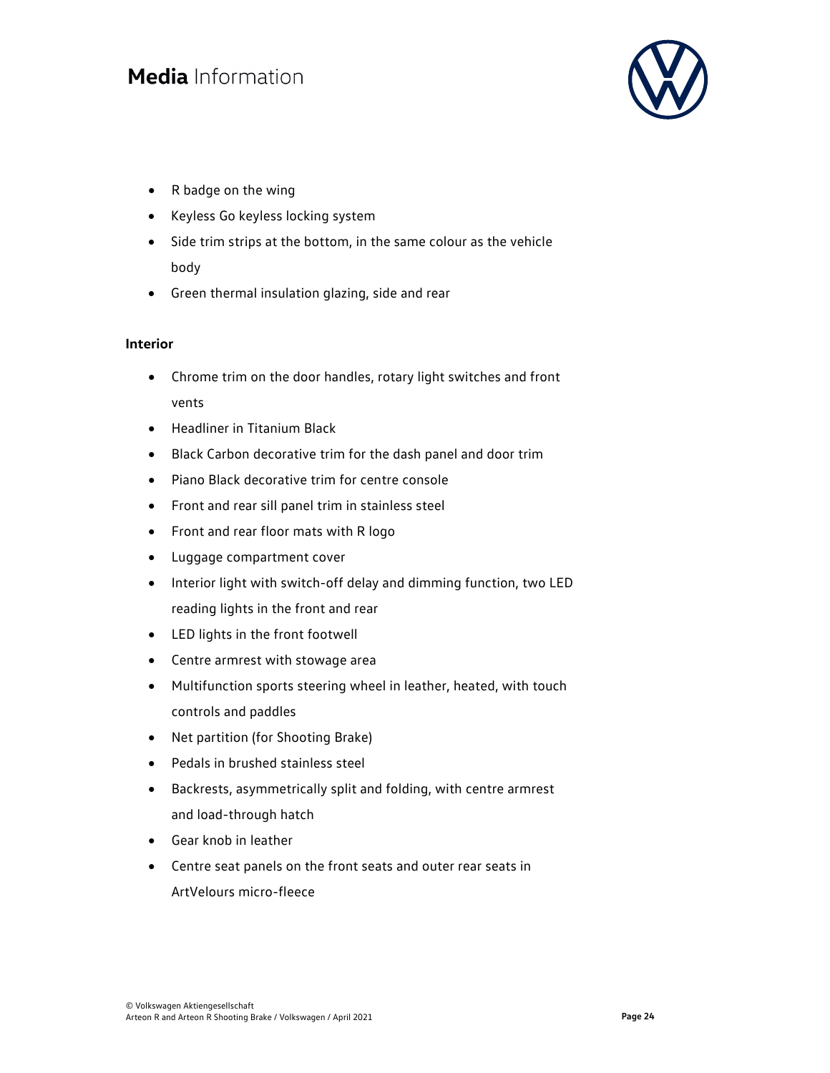

- R badge on the wing
- Keyless Go keyless locking system
- Side trim strips at the bottom, in the same colour as the vehicle body
- Green thermal insulation glazing, side and rear

#### **Interior**

- Chrome trim on the door handles, rotary light switches and front vents
- Headliner in Titanium Black
- Black Carbon decorative trim for the dash panel and door trim
- Piano Black decorative trim for centre console
- Front and rear sill panel trim in stainless steel
- Front and rear floor mats with R logo
- Luggage compartment cover
- Interior light with switch-off delay and dimming function, two LED reading lights in the front and rear
- LED lights in the front footwell
- Centre armrest with stowage area
- Multifunction sports steering wheel in leather, heated, with touch controls and paddles
- Net partition (for Shooting Brake)
- Pedals in brushed stainless steel
- Backrests, asymmetrically split and folding, with centre armrest and load-through hatch
- Gear knob in leather
- Centre seat panels on the front seats and outer rear seats in ArtVelours micro-fleece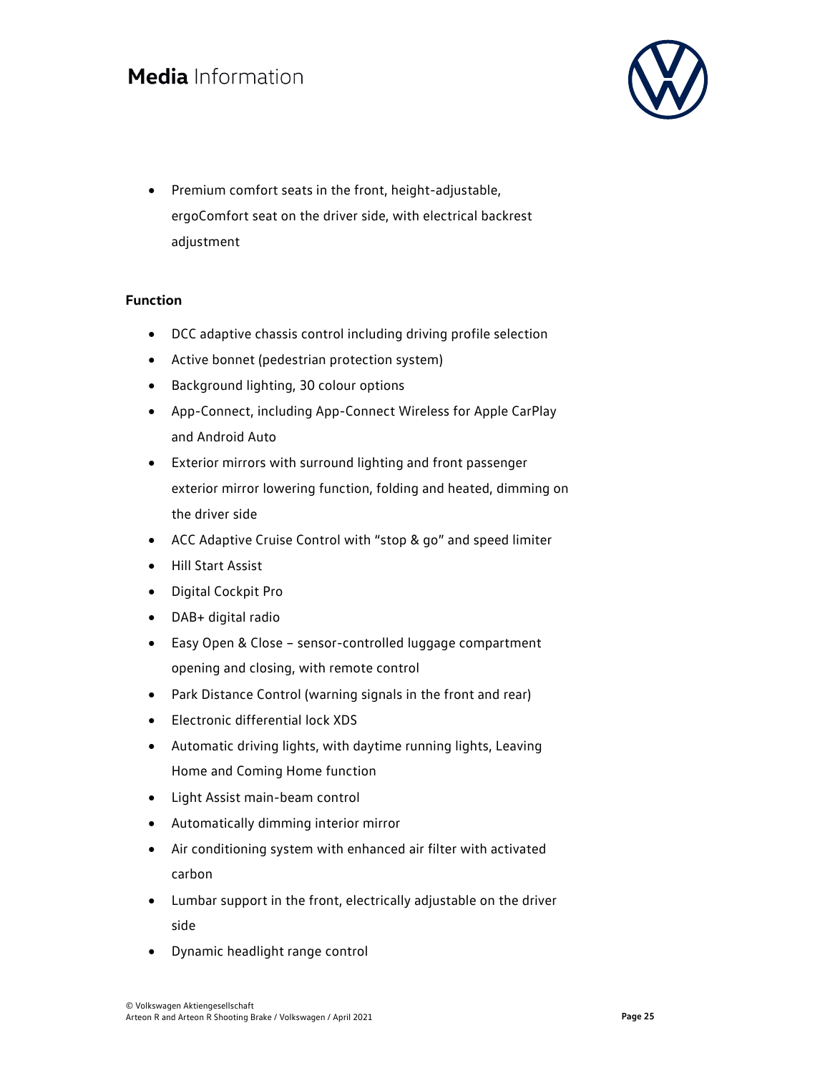

 Premium comfort seats in the front, height-adjustable, ergoComfort seat on the driver side, with electrical backrest adjustment

### **Function**

- DCC adaptive chassis control including driving profile selection
- Active bonnet (pedestrian protection system)
- Background lighting, 30 colour options
- App-Connect, including App-Connect Wireless for Apple CarPlay and Android Auto
- Exterior mirrors with surround lighting and front passenger exterior mirror lowering function, folding and heated, dimming on the driver side
- ACC Adaptive Cruise Control with "stop & go" and speed limiter
- Hill Start Assist
- Digital Cockpit Pro
- DAB+ digital radio
- Easy Open & Close sensor-controlled luggage compartment opening and closing, with remote control
- Park Distance Control (warning signals in the front and rear)
- Electronic differential lock XDS
- Automatic driving lights, with daytime running lights, Leaving Home and Coming Home function
- Light Assist main-beam control
- Automatically dimming interior mirror
- Air conditioning system with enhanced air filter with activated carbon
- Lumbar support in the front, electrically adjustable on the driver side
- Dynamic headlight range control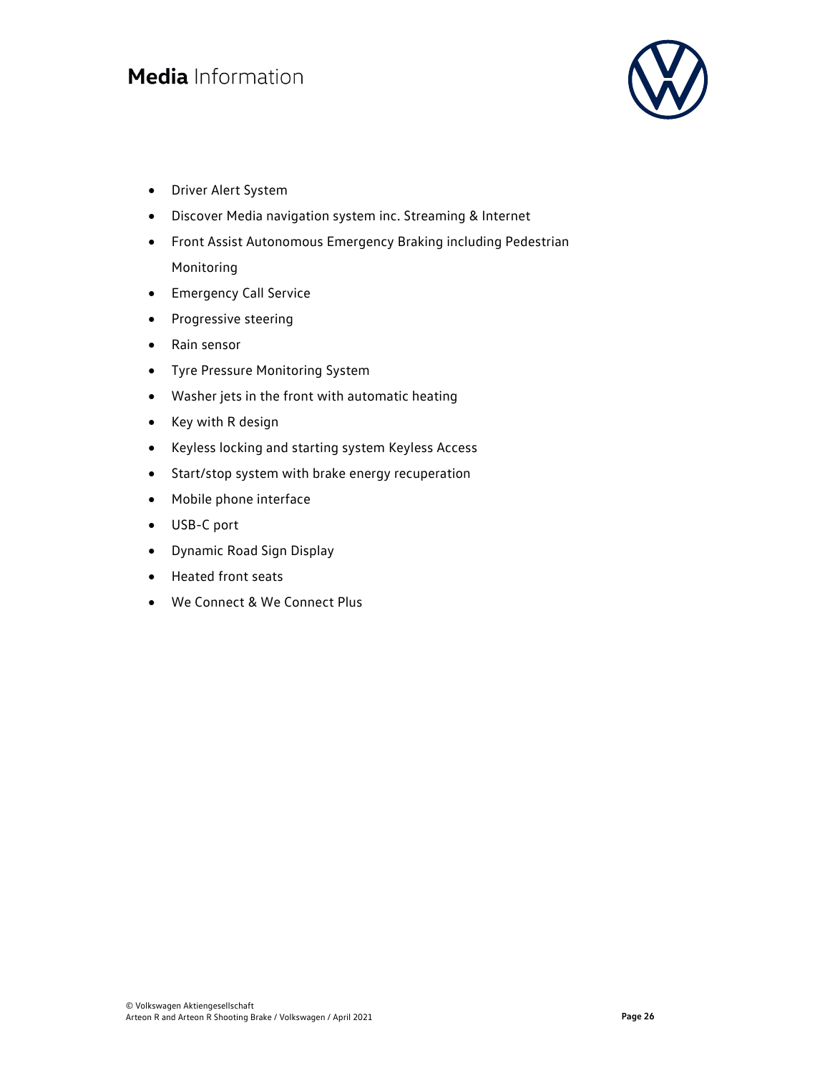

- Driver Alert System
- Discover Media navigation system inc. Streaming & Internet
- Front Assist Autonomous Emergency Braking including Pedestrian Monitoring
- Emergency Call Service
- Progressive steering
- Rain sensor
- Tyre Pressure Monitoring System
- Washer jets in the front with automatic heating
- Key with R design
- Keyless locking and starting system Keyless Access
- Start/stop system with brake energy recuperation
- Mobile phone interface
- USB-C port
- Dynamic Road Sign Display
- Heated front seats
- We Connect & We Connect Plus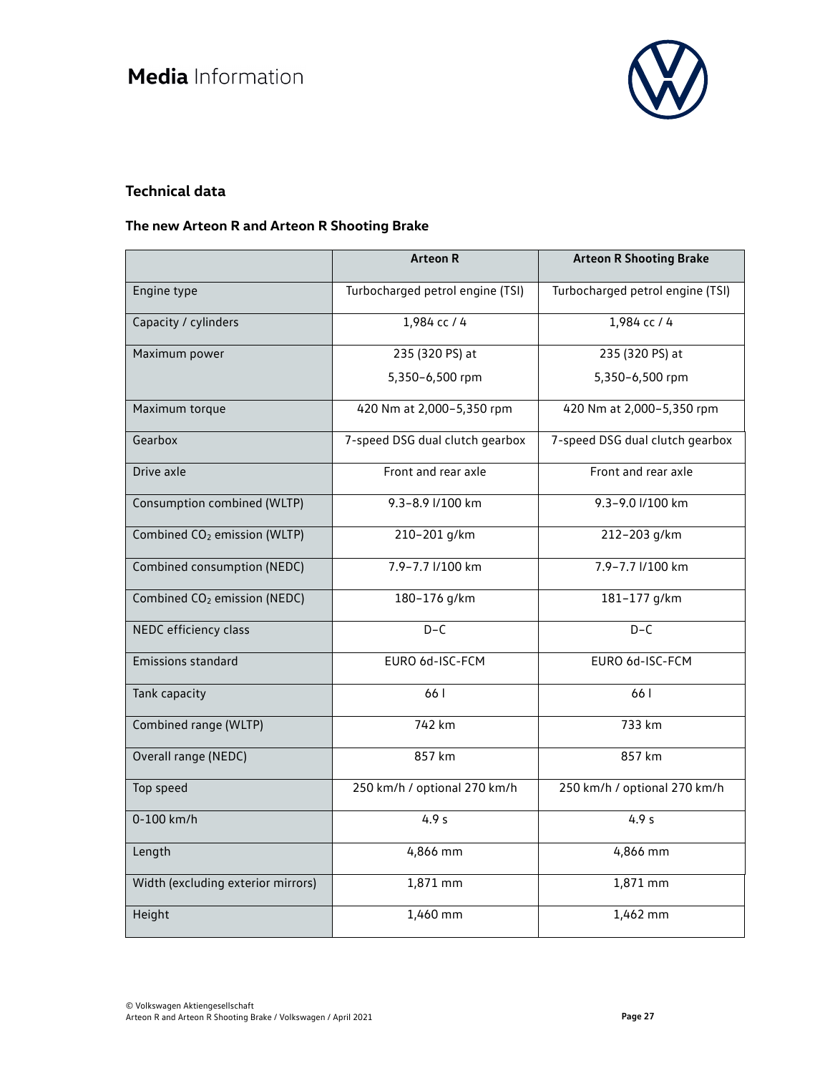

### **Technical data**

### **The new Arteon R and Arteon R Shooting Brake**

|                                          | <b>Arteon R</b>                  | <b>Arteon R Shooting Brake</b>   |
|------------------------------------------|----------------------------------|----------------------------------|
| Engine type                              | Turbocharged petrol engine (TSI) | Turbocharged petrol engine (TSI) |
| Capacity / cylinders                     | $1,984$ cc / 4                   | 1,984 сс / 4                     |
| Maximum power                            | 235 (320 PS) at                  | 235 (320 PS) at                  |
|                                          | 5,350-6,500 rpm                  | 5,350-6,500 rpm                  |
| Maximum torque                           | 420 Nm at 2,000-5,350 rpm        | 420 Nm at 2,000-5,350 rpm        |
| Gearbox                                  | 7-speed DSG dual clutch gearbox  | 7-speed DSG dual clutch gearbox  |
| Drive axle                               | Front and rear axle              | Front and rear axle              |
| Consumption combined (WLTP)              | 9.3-8.9 l/100 km                 | 9.3-9.0 l/100 km                 |
| Combined CO <sub>2</sub> emission (WLTP) | 210-201 g/km                     | 212-203 g/km                     |
| Combined consumption (NEDC)              | 7.9-7.7 l/100 km                 | 7.9-7.7 l/100 km                 |
| Combined CO <sub>2</sub> emission (NEDC) | 180-176 g/km                     | 181-177 g/km                     |
| NEDC efficiency class                    | $D-C$                            | $D-C$                            |
| <b>Emissions standard</b>                | EURO 6d-ISC-FCM                  | EURO 6d-ISC-FCM                  |
| Tank capacity                            | 661                              | 66 l                             |
| Combined range (WLTP)                    | 742 km                           | 733 km                           |
| Overall range (NEDC)                     | 857 km                           | 857 km                           |
| Top speed                                | 250 km/h / optional 270 km/h     | 250 km/h / optional 270 km/h     |
| 0-100 km/h                               | 4.9 <sub>s</sub>                 | 4.9 <sub>s</sub>                 |
| Length                                   | 4,866 mm                         | 4,866 mm                         |
| Width (excluding exterior mirrors)       | $1,871$ mm                       | 1,871 mm                         |
| Height                                   | 1,460 mm                         | 1,462 mm                         |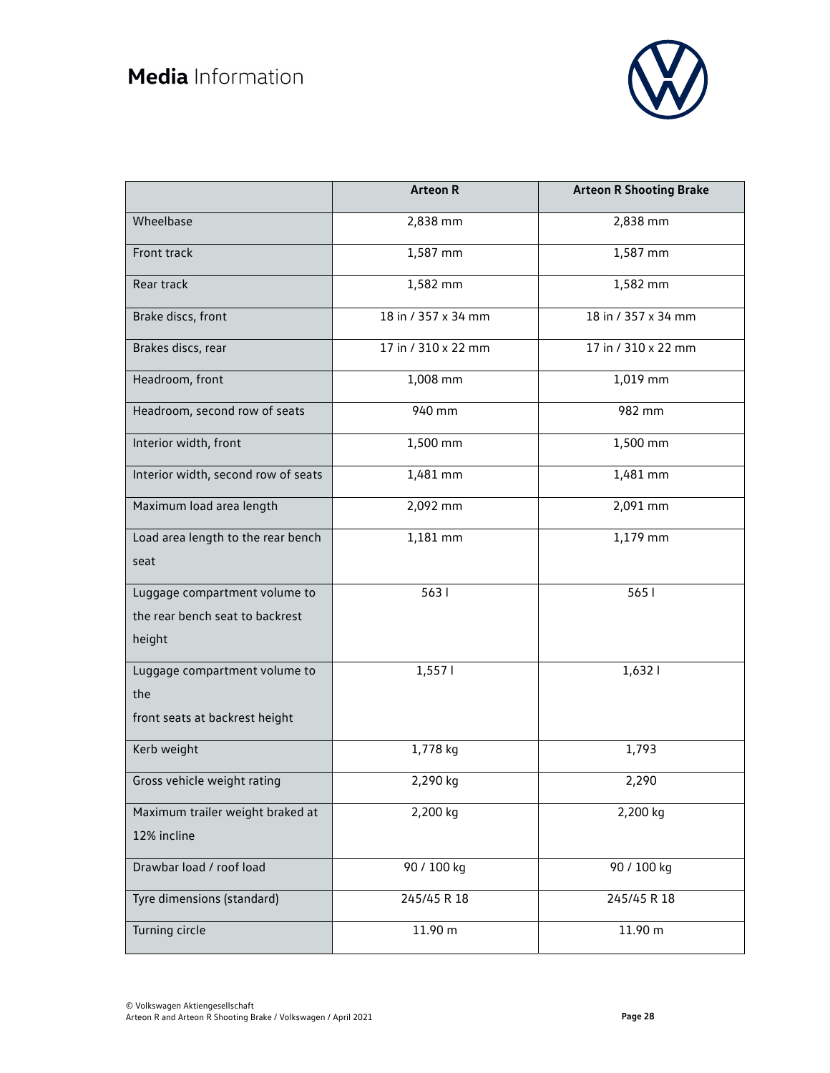

|                                     | <b>Arteon R</b>     | <b>Arteon R Shooting Brake</b> |
|-------------------------------------|---------------------|--------------------------------|
| Wheelbase                           | 2,838 mm            | 2,838 mm                       |
| Front track                         | 1,587 mm            | 1,587 mm                       |
| Rear track                          | 1,582 mm            | 1,582 mm                       |
| Brake discs, front                  | 18 in / 357 x 34 mm | 18 in / 357 x 34 mm            |
| Brakes discs, rear                  | 17 in / 310 x 22 mm | 17 in / 310 x 22 mm            |
| Headroom, front                     | 1,008 mm            | 1,019 mm                       |
| Headroom, second row of seats       | 940 mm              | 982 mm                         |
| Interior width, front               | 1,500 mm            | 1,500 mm                       |
| Interior width, second row of seats | 1,481 mm            | 1,481 mm                       |
| Maximum load area length            | 2,092 mm            | 2,091 mm                       |
| Load area length to the rear bench  | 1,181 mm            | 1,179 mm                       |
| seat                                |                     |                                |
| Luggage compartment volume to       | 5631                | 565 l                          |
| the rear bench seat to backrest     |                     |                                |
| height                              |                     |                                |
| Luggage compartment volume to       | 1,5571              | 1,6321                         |
| the                                 |                     |                                |
| front seats at backrest height      |                     |                                |
| Kerb weight                         | 1,778 kg            | 1,793                          |
| Gross vehicle weight rating         | 2,290 kg            | 2,290                          |
| Maximum trailer weight braked at    | 2,200 kg            | 2,200 kg                       |
| 12% incline                         |                     |                                |
| Drawbar load / roof load            | 90 / 100 kg         | 90 / 100 kg                    |
| Tyre dimensions (standard)          | 245/45 R 18         | 245/45 R 18                    |
| Turning circle                      | 11.90 m             | 11.90 m                        |